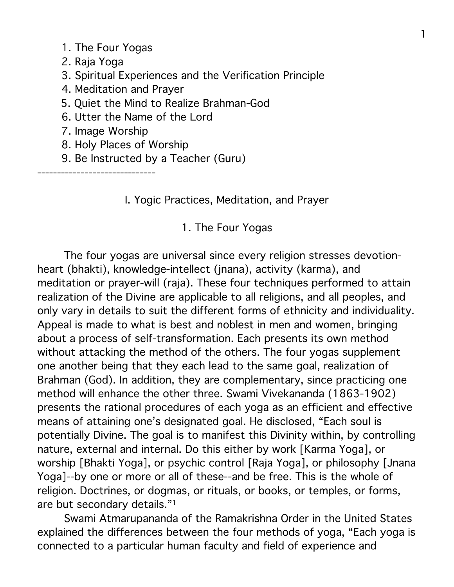1. The Four Yogas

- 2. Raja Yoga
- 3. Spiritual Experiences and the Verification Principle
- 4. Meditation and Prayer
- 5. Quiet the Mind to Realize Brahman-God
- 6. Utter the Name of the Lord
- 7. Image Worship
- 8. Holy Places of Worship
- 9. Be Instructed by a Teacher (Guru)

------------------------------

I. Yogic Practices, Meditation, and Prayer

## 1. The Four Yogas

The four yogas are universal since every religion stresses devotionheart (bhakti), knowledge-intellect (jnana), activity (karma), and meditation or prayer-will (raja). These four techniques performed to attain realization of the Divine are applicable to all religions, and all peoples, and only vary in details to suit the different forms of ethnicity and individuality. Appeal is made to what is best and noblest in men and women, bringing about a process of self-transformation. Each presents its own method without attacking the method of the others. The four yogas supplement one another being that they each lead to the same goal, realization of Brahman (God). In addition, they are complementary, since practicing one method will enhance the other three. Swami Vivekananda (1863-1902) presents the rational procedures of each yoga as an efficient and effective means of attaining one's designated goal. He disclosed, "Each soul is potentially Divine. The goal is to manifest this Divinity within, by controlling nature, external and internal. Do this either by work [Karma Yoga], or worship [Bhakti Yoga], or psychic control [Raja Yoga], or philosophy [Jnana Yoga]--by one or more or all of these--and be free. This is the whole of religion. Doctrines, or dogmas, or rituals, or books, or temples, or forms, are but secondary details."1

Swami Atmarupananda of the Ramakrishna Order in the United States explained the differences between the four methods of yoga, "Each yoga is connected to a particular human faculty and field of experience and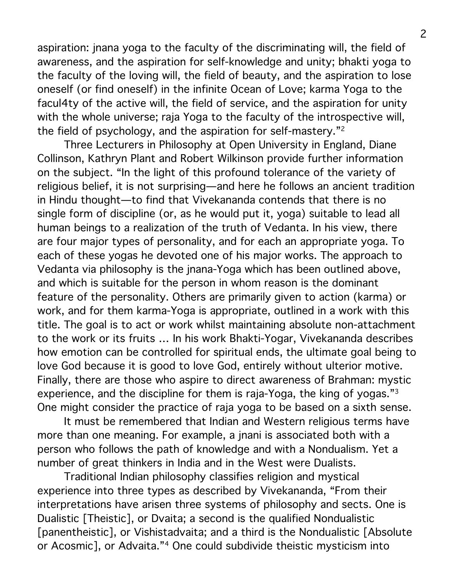aspiration: jnana yoga to the faculty of the discriminating will, the field of awareness, and the aspiration for self-knowledge and unity; bhakti yoga to the faculty of the loving will, the field of beauty, and the aspiration to lose oneself (or find oneself) in the infinite Ocean of Love; karma Yoga to the facul4ty of the active will, the field of service, and the aspiration for unity with the whole universe; raja Yoga to the faculty of the introspective will, the field of psychology, and the aspiration for self-mastery."2

Three Lecturers in Philosophy at Open University in England, Diane Collinson, Kathryn Plant and Robert Wilkinson provide further information on the subject. "In the light of this profound tolerance of the variety of religious belief, it is not surprising—and here he follows an ancient tradition in Hindu thought—to find that Vivekananda contends that there is no single form of discipline (or, as he would put it, yoga) suitable to lead all human beings to a realization of the truth of Vedanta. In his view, there are four major types of personality, and for each an appropriate yoga. To each of these yogas he devoted one of his major works. The approach to Vedanta via philosophy is the jnana-Yoga which has been outlined above, and which is suitable for the person in whom reason is the dominant feature of the personality. Others are primarily given to action (karma) or work, and for them karma-Yoga is appropriate, outlined in a work with this title. The goal is to act or work whilst maintaining absolute non-attachment to the work or its fruits … In his work Bhakti-Yogar, Vivekananda describes how emotion can be controlled for spiritual ends, the ultimate goal being to love God because it is good to love God, entirely without ulterior motive. Finally, there are those who aspire to direct awareness of Brahman: mystic experience, and the discipline for them is raja-Yoga, the king of yogas."3 One might consider the practice of raja yoga to be based on a sixth sense.

It must be remembered that Indian and Western religious terms have more than one meaning. For example, a jnani is associated both with a person who follows the path of knowledge and with a Nondualism. Yet a number of great thinkers in India and in the West were Dualists.

Traditional Indian philosophy classifies religion and mystical experience into three types as described by Vivekananda, "From their interpretations have arisen three systems of philosophy and sects. One is Dualistic [Theistic], or Dvaita; a second is the qualified Nondualistic [panentheistic], or Vishistadvaita; and a third is the Nondualistic [Absolute or Acosmic], or Advaita."4 One could subdivide theistic mysticism into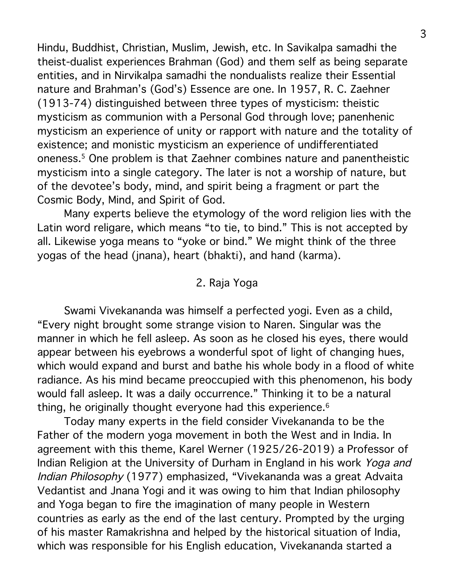Hindu, Buddhist, Christian, Muslim, Jewish, etc. In Savikalpa samadhi the theist-dualist experiences Brahman (God) and them self as being separate entities, and in Nirvikalpa samadhi the nondualists realize their Essential nature and Brahman's (God's) Essence are one. In 1957, R. C. Zaehner (1913-74) distinguished between three types of mysticism: theistic mysticism as communion with a Personal God through love; panenhenic mysticism an experience of unity or rapport with nature and the totality of existence; and monistic mysticism an experience of undifferentiated oneness.5 One problem is that Zaehner combines nature and panentheistic mysticism into a single category. The later is not a worship of nature, but of the devotee's body, mind, and spirit being a fragment or part the Cosmic Body, Mind, and Spirit of God.

Many experts believe the etymology of the word religion lies with the Latin word religare, which means "to tie, to bind." This is not accepted by all. Likewise yoga means to "yoke or bind." We might think of the three yogas of the head (jnana), heart (bhakti), and hand (karma).

#### 2. Raja Yoga

Swami Vivekananda was himself a perfected yogi. Even as a child, "Every night brought some strange vision to Naren. Singular was the manner in which he fell asleep. As soon as he closed his eyes, there would appear between his eyebrows a wonderful spot of light of changing hues, which would expand and burst and bathe his whole body in a flood of white radiance. As his mind became preoccupied with this phenomenon, his body would fall asleep. It was a daily occurrence." Thinking it to be a natural thing, he originally thought everyone had this experience.<sup>6</sup>

Today many experts in the field consider Vivekananda to be the Father of the modern yoga movement in both the West and in India. In agreement with this theme, Karel Werner (1925/26-2019) a Professor of Indian Religion at the University of Durham in England in his work Yoga and Indian Philosophy (1977) emphasized, "Vivekananda was a great Advaita Vedantist and Jnana Yogi and it was owing to him that Indian philosophy and Yoga began to fire the imagination of many people in Western countries as early as the end of the last century. Prompted by the urging of his master Ramakrishna and helped by the historical situation of India, which was responsible for his English education, Vivekananda started a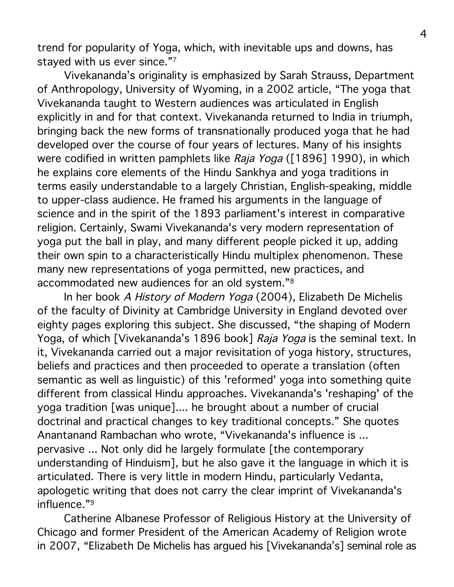trend for popularity of Yoga, which, with inevitable ups and downs, has stayed with us ever since."7

Vivekananda's originality is emphasized by Sarah Strauss, Department of Anthropology, University of Wyoming, in a 2002 article, "The yoga that Vivekananda taught to Western audiences was articulated in English explicitly in and for that context. Vivekananda returned to India in triumph, bringing back the new forms of transnationally produced yoga that he had developed over the course of four years of lectures. Many of his insights were codified in written pamphlets like Raja Yoga ([1896] 1990), in which he explains core elements of the Hindu Sankhya and yoga traditions in terms easily understandable to a largely Christian, English-speaking, middle to upper-class audience. He framed his arguments in the language of science and in the spirit of the 1893 parliament's interest in comparative religion. Certainly, Swami Vivekananda's very modern representation of yoga put the ball in play, and many different people picked it up, adding their own spin to a characteristically Hindu multiplex phenomenon. These many new representations of yoga permitted, new practices, and accommodated new audiences for an old system."8

In her book A History of Modern Yoga (2004), Elizabeth De Michelis of the faculty of Divinity at Cambridge University in England devoted over eighty pages exploring this subject. She discussed, "the shaping of Modern Yoga, of which [Vivekananda's 1896 book] Raja Yoga is the seminal text. In it, Vivekananda carried out a major revisitation of yoga history, structures, beliefs and practices and then proceeded to operate a translation (often semantic as well as linguistic) of this 'reformed' yoga into something quite different from classical Hindu approaches. Vivekananda's 'reshaping' of the yoga tradition [was unique].... he brought about a number of crucial doctrinal and practical changes to key traditional concepts." She quotes Anantanand Rambachan who wrote, "Vivekananda's influence is ... pervasive ... Not only did he largely formulate [the contemporary understanding of Hinduism], but he also gave it the language in which it is articulated. There is very little in modern Hindu, particularly Vedanta, apologetic writing that does not carry the clear imprint of Vivekananda's influence."9

Catherine Albanese Professor of Religious History at the University of Chicago and former President of the American Academy of Religion wrote in 2007, "Elizabeth De Michelis has argued his [Vivekananda's] seminal role as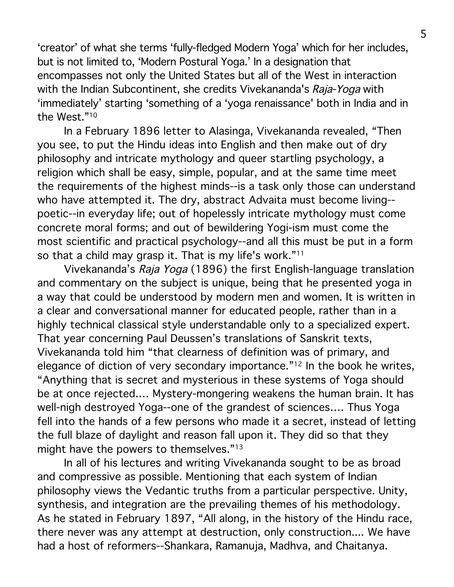'creator' of what she terms 'fully-fledged Modern Yoga' which for her includes, but is not limited to, 'Modern Postural Yoga.' In a designation that encompasses not only the United States but all of the West in interaction with the Indian Subcontinent, she credits Vivekananda's Raja-Yoga with 'immediately' starting 'something of a 'yoga renaissance' both in India and in the West."10

In a February 1896 letter to Alasinga, Vivekananda revealed, "Then you see, to put the Hindu ideas into English and then make out of dry philosophy and intricate mythology and queer startling psychology, a religion which shall be easy, simple, popular, and at the same time meet the requirements of the highest minds--is a task only those can understand who have attempted it. The dry, abstract Advaita must become living-poetic--in everyday life; out of hopelessly intricate mythology must come concrete moral forms; and out of bewildering Yogi-ism must come the most scientific and practical psychology--and all this must be put in a form so that a child may grasp it. That is my life's work."<sup>11</sup>

Vivekananda's Raja Yoga (1896) the first English-language translation and commentary on the subject is unique, being that he presented yoga in a way that could be understood by modern men and women. It is written in a clear and conversational manner for educated people, rather than in a highly technical classical style understandable only to a specialized expert. That year concerning Paul Deussen's translations of Sanskrit texts, Vivekananda told him "that clearness of definition was of primary, and elegance of diction of very secondary importance."12 In the book he writes, "Anything that is secret and mysterious in these systems of Yoga should be at once rejected.… Mystery-mongering weakens the human brain. It has well-nigh destroyed Yoga--one of the grandest of sciences…. Thus Yoga fell into the hands of a few persons who made it a secret, instead of letting the full blaze of daylight and reason fall upon it. They did so that they might have the powers to themselves."13

In all of his lectures and writing Vivekananda sought to be as broad and compressive as possible. Mentioning that each system of Indian philosophy views the Vedantic truths from a particular perspective. Unity, synthesis, and integration are the prevailing themes of his methodology. As he stated in February 1897, "All along, in the history of the Hindu race, there never was any attempt at destruction, only construction.... We have had a host of reformers--Shankara, Ramanuja, Madhva, and Chaitanya.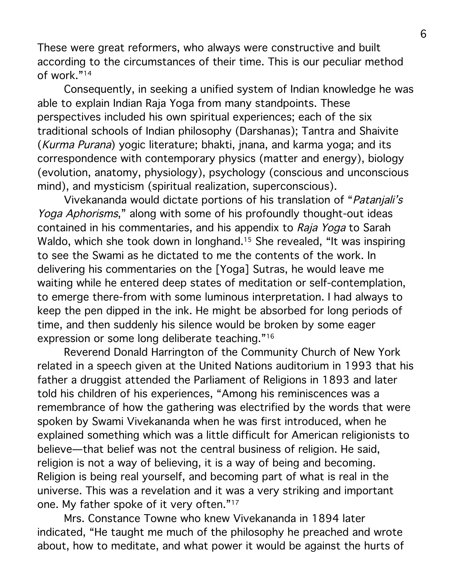These were great reformers, who always were constructive and built according to the circumstances of their time. This is our peculiar method of work."14

Consequently, in seeking a unified system of Indian knowledge he was able to explain Indian Raja Yoga from many standpoints. These perspectives included his own spiritual experiences; each of the six traditional schools of Indian philosophy (Darshanas); Tantra and Shaivite (Kurma Purana) yogic literature; bhakti, jnana, and karma yoga; and its correspondence with contemporary physics (matter and energy), biology (evolution, anatomy, physiology), psychology (conscious and unconscious mind), and mysticism (spiritual realization, superconscious).

Vivekananda would dictate portions of his translation of "Patanjali's Yoga Aphorisms," along with some of his profoundly thought-out ideas contained in his commentaries, and his appendix to Raja Yoga to Sarah Waldo, which she took down in longhand.<sup>15</sup> She revealed, "It was inspiring to see the Swami as he dictated to me the contents of the work. In delivering his commentaries on the [Yoga] Sutras, he would leave me waiting while he entered deep states of meditation or self-contemplation, to emerge there-from with some luminous interpretation. I had always to keep the pen dipped in the ink. He might be absorbed for long periods of time, and then suddenly his silence would be broken by some eager expression or some long deliberate teaching."16

Reverend Donald Harrington of the Community Church of New York related in a speech given at the United Nations auditorium in 1993 that his father a druggist attended the Parliament of Religions in 1893 and later told his children of his experiences, "Among his reminiscences was a remembrance of how the gathering was electrified by the words that were spoken by Swami Vivekananda when he was first introduced, when he explained something which was a little difficult for American religionists to believe—that belief was not the central business of religion. He said, religion is not a way of believing, it is a way of being and becoming. Religion is being real yourself, and becoming part of what is real in the universe. This was a revelation and it was a very striking and important one. My father spoke of it very often."17

Mrs. Constance Towne who knew Vivekananda in 1894 later indicated, "He taught me much of the philosophy he preached and wrote about, how to meditate, and what power it would be against the hurts of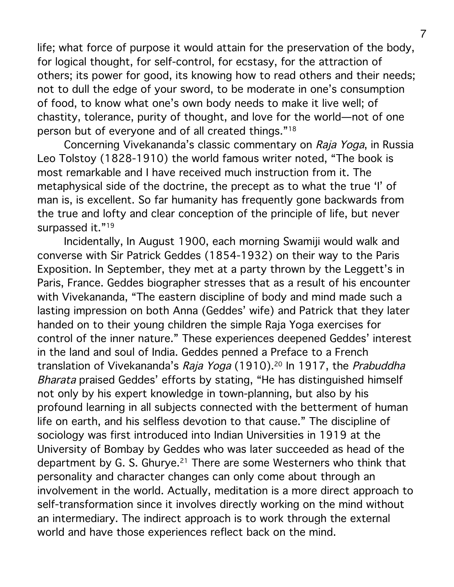life; what force of purpose it would attain for the preservation of the body, for logical thought, for self-control, for ecstasy, for the attraction of others; its power for good, its knowing how to read others and their needs; not to dull the edge of your sword, to be moderate in one's consumption of food, to know what one's own body needs to make it live well; of chastity, tolerance, purity of thought, and love for the world—not of one person but of everyone and of all created things."18

Concerning Vivekananda's classic commentary on Raja Yoga, in Russia Leo Tolstoy (1828-1910) the world famous writer noted, "The book is most remarkable and I have received much instruction from it. The metaphysical side of the doctrine, the precept as to what the true 'I' of man is, is excellent. So far humanity has frequently gone backwards from the true and lofty and clear conception of the principle of life, but never surpassed it."<sup>19</sup>

Incidentally, In August 1900, each morning Swamiji would walk and converse with Sir Patrick Geddes (1854-1932) on their way to the Paris Exposition. In September, they met at a party thrown by the Leggett's in Paris, France. Geddes biographer stresses that as a result of his encounter with Vivekananda, "The eastern discipline of body and mind made such a lasting impression on both Anna (Geddes' wife) and Patrick that they later handed on to their young children the simple Raja Yoga exercises for control of the inner nature." These experiences deepened Geddes' interest in the land and soul of India. Geddes penned a Preface to a French translation of Vivekananda's Raja Yoga (1910).<sup>20</sup> In 1917, the Prabuddha Bharata praised Geddes' efforts by stating, "He has distinguished himself not only by his expert knowledge in town-planning, but also by his profound learning in all subjects connected with the betterment of human life on earth, and his selfless devotion to that cause." The discipline of sociology was first introduced into Indian Universities in 1919 at the University of Bombay by Geddes who was later succeeded as head of the department by G. S. Ghurye.<sup>21</sup> There are some Westerners who think that personality and character changes can only come about through an involvement in the world. Actually, meditation is a more direct approach to self-transformation since it involves directly working on the mind without an intermediary. The indirect approach is to work through the external world and have those experiences reflect back on the mind.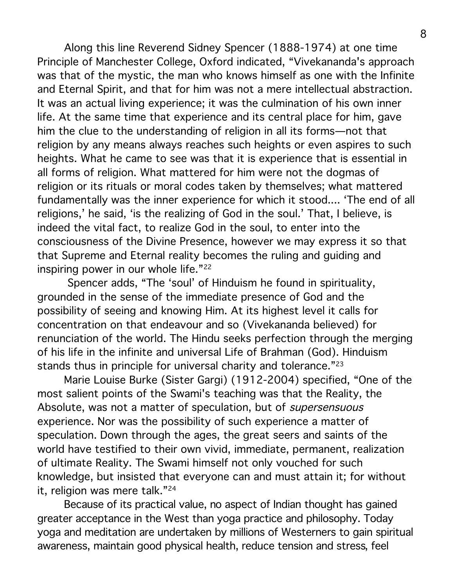Along this line Reverend Sidney Spencer (1888-1974) at one time Principle of Manchester College, Oxford indicated, "Vivekananda's approach was that of the mystic, the man who knows himself as one with the Infinite and Eternal Spirit, and that for him was not a mere intellectual abstraction. It was an actual living experience; it was the culmination of his own inner life. At the same time that experience and its central place for him, gave him the clue to the understanding of religion in all its forms—not that religion by any means always reaches such heights or even aspires to such heights. What he came to see was that it is experience that is essential in all forms of religion. What mattered for him were not the dogmas of religion or its rituals or moral codes taken by themselves; what mattered fundamentally was the inner experience for which it stood.... 'The end of all religions,' he said, 'is the realizing of God in the soul.' That, I believe, is indeed the vital fact, to realize God in the soul, to enter into the consciousness of the Divine Presence, however we may express it so that that Supreme and Eternal reality becomes the ruling and guiding and inspiring power in our whole life."22

 Spencer adds, "The 'soul' of Hinduism he found in spirituality, grounded in the sense of the immediate presence of God and the possibility of seeing and knowing Him. At its highest level it calls for concentration on that endeavour and so (Vivekananda believed) for renunciation of the world. The Hindu seeks perfection through the merging of his life in the infinite and universal Life of Brahman (God). Hinduism stands thus in principle for universal charity and tolerance."<sup>23</sup>

Marie Louise Burke (Sister Gargi) (1912-2004) specified, "One of the most salient points of the Swami's teaching was that the Reality, the Absolute, was not a matter of speculation, but of supersensuous experience. Nor was the possibility of such experience a matter of speculation. Down through the ages, the great seers and saints of the world have testified to their own vivid, immediate, permanent, realization of ultimate Reality. The Swami himself not only vouched for such knowledge, but insisted that everyone can and must attain it; for without it, religion was mere talk."24

Because of its practical value, no aspect of Indian thought has gained greater acceptance in the West than yoga practice and philosophy. Today yoga and meditation are undertaken by millions of Westerners to gain spiritual awareness, maintain good physical health, reduce tension and stress, feel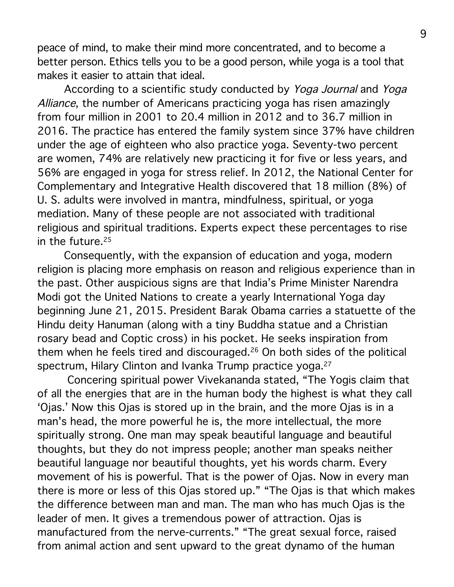peace of mind, to make their mind more concentrated, and to become a better person. Ethics tells you to be a good person, while yoga is a tool that makes it easier to attain that ideal.

According to a scientific study conducted by Yoga Journal and Yoga Alliance, the number of Americans practicing yoga has risen amazingly from four million in 2001 to 20.4 million in 2012 and to 36.7 million in 2016. The practice has entered the family system since 37% have children under the age of eighteen who also practice yoga. Seventy-two percent are women, 74% are relatively new practicing it for five or less years, and 56% are engaged in yoga for stress relief. In 2012, the National Center for Complementary and Integrative Health discovered that 18 million (8%) of U. S. adults were involved in mantra, mindfulness, spiritual, or yoga mediation. Many of these people are not associated with traditional religious and spiritual traditions. Experts expect these percentages to rise in the future.25

Consequently, with the expansion of education and yoga, modern religion is placing more emphasis on reason and religious experience than in the past. Other auspicious signs are that India's Prime Minister Narendra Modi got the United Nations to create a yearly International Yoga day beginning June 21, 2015. President Barak Obama carries a statuette of the Hindu deity Hanuman (along with a tiny Buddha statue and a Christian rosary bead and Coptic cross) in his pocket. He seeks inspiration from them when he feels tired and discouraged.26 On both sides of the political spectrum, Hilary Clinton and Ivanka Trump practice yoga.<sup>27</sup>

Concering spiritual power Vivekananda stated, "The Yogis claim that of all the energies that are in the human body the highest is what they call 'Ojas.' Now this Ojas is stored up in the brain, and the more Ojas is in a man's head, the more powerful he is, the more intellectual, the more spiritually strong. One man may speak beautiful language and beautiful thoughts, but they do not impress people; another man speaks neither beautiful language nor beautiful thoughts, yet his words charm. Every movement of his is powerful. That is the power of Ojas. Now in every man there is more or less of this Ojas stored up." "The Ojas is that which makes the difference between man and man. The man who has much Ojas is the leader of men. It gives a tremendous power of attraction. Ojas is manufactured from the nerve-currents." "The great sexual force, raised from animal action and sent upward to the great dynamo of the human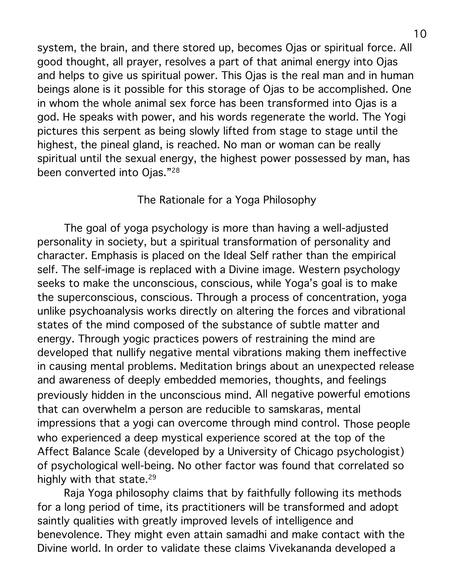system, the brain, and there stored up, becomes Ojas or spiritual force. All good thought, all prayer, resolves a part of that animal energy into Ojas and helps to give us spiritual power. This Ojas is the real man and in human beings alone is it possible for this storage of Ojas to be accomplished. One in whom the whole animal sex force has been transformed into Ojas is a god. He speaks with power, and his words regenerate the world. The Yogi pictures this serpent as being slowly lifted from stage to stage until the highest, the pineal gland, is reached. No man or woman can be really spiritual until the sexual energy, the highest power possessed by man, has been converted into Ojas."28

# The Rationale for a Yoga Philosophy

The goal of yoga psychology is more than having a well-adjusted personality in society, but a spiritual transformation of personality and character. Emphasis is placed on the Ideal Self rather than the empirical self. The self-image is replaced with a Divine image. Western psychology seeks to make the unconscious, conscious, while Yoga's goal is to make the superconscious, conscious. Through a process of concentration, yoga unlike psychoanalysis works directly on altering the forces and vibrational states of the mind composed of the substance of subtle matter and energy. Through yogic practices powers of restraining the mind are developed that nullify negative mental vibrations making them ineffective in causing mental problems. Meditation brings about an unexpected release and awareness of deeply embedded memories, thoughts, and feelings previously hidden in the unconscious mind. All negative powerful emotions that can overwhelm a person are reducible to samskaras, mental impressions that a yogi can overcome through mind control. Those people who experienced a deep mystical experience scored at the top of the Affect Balance Scale (developed by a University of Chicago psychologist) of psychological well-being. No other factor was found that correlated so highly with that state.<sup>29</sup>

Raja Yoga philosophy claims that by faithfully following its methods for a long period of time, its practitioners will be transformed and adopt saintly qualities with greatly improved levels of intelligence and benevolence. They might even attain samadhi and make contact with the Divine world. In order to validate these claims Vivekananda developed a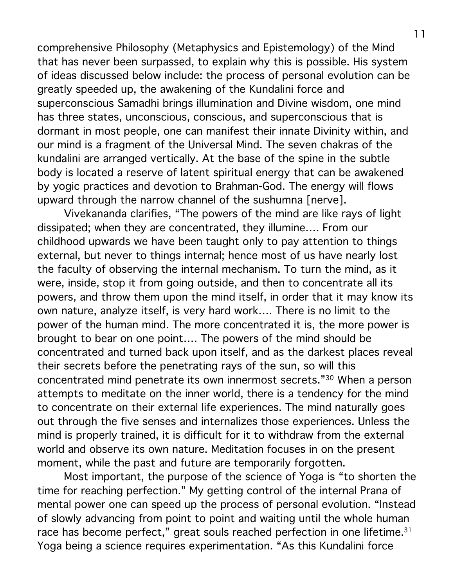comprehensive Philosophy (Metaphysics and Epistemology) of the Mind that has never been surpassed, to explain why this is possible. His system of ideas discussed below include: the process of personal evolution can be greatly speeded up, the awakening of the Kundalini force and superconscious Samadhi brings illumination and Divine wisdom, one mind has three states, unconscious, conscious, and superconscious that is dormant in most people, one can manifest their innate Divinity within, and our mind is a fragment of the Universal Mind. The seven chakras of the kundalini are arranged vertically. At the base of the spine in the subtle body is located a reserve of latent spiritual energy that can be awakened by yogic practices and devotion to Brahman-God. The energy will flows upward through the narrow channel of the sushumna [nerve].

Vivekananda clarifies, "The powers of the mind are like rays of light dissipated; when they are concentrated, they illumine…. From our childhood upwards we have been taught only to pay attention to things external, but never to things internal; hence most of us have nearly lost the faculty of observing the internal mechanism. To turn the mind, as it were, inside, stop it from going outside, and then to concentrate all its powers, and throw them upon the mind itself, in order that it may know its own nature, analyze itself, is very hard work…. There is no limit to the power of the human mind. The more concentrated it is, the more power is brought to bear on one point…. The powers of the mind should be concentrated and turned back upon itself, and as the darkest places reveal their secrets before the penetrating rays of the sun, so will this concentrated mind penetrate its own innermost secrets."30 When a person attempts to meditate on the inner world, there is a tendency for the mind to concentrate on their external life experiences. The mind naturally goes out through the five senses and internalizes those experiences. Unless the mind is properly trained, it is difficult for it to withdraw from the external world and observe its own nature. Meditation focuses in on the present moment, while the past and future are temporarily forgotten.

Most important, the purpose of the science of Yoga is "to shorten the time for reaching perfection." My getting control of the internal Prana of mental power one can speed up the process of personal evolution. "Instead of slowly advancing from point to point and waiting until the whole human race has become perfect," great souls reached perfection in one lifetime.<sup>31</sup> Yoga being a science requires experimentation. "As this Kundalini force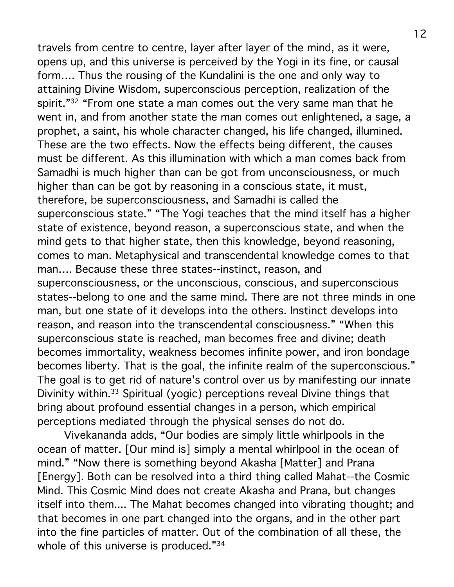travels from centre to centre, layer after layer of the mind, as it were, opens up, and this universe is perceived by the Yogi in its fine, or causal form…. Thus the rousing of the Kundalini is the one and only way to attaining Divine Wisdom, superconscious perception, realization of the spirit."<sup>32</sup> "From one state a man comes out the very same man that he went in, and from another state the man comes out enlightened, a sage, a prophet, a saint, his whole character changed, his life changed, illumined. These are the two effects. Now the effects being different, the causes must be different. As this illumination with which a man comes back from Samadhi is much higher than can be got from unconsciousness, or much higher than can be got by reasoning in a conscious state, it must, therefore, be superconsciousness, and Samadhi is called the superconscious state." "The Yogi teaches that the mind itself has a higher state of existence, beyond reason, a superconscious state, and when the mind gets to that higher state, then this knowledge, beyond reasoning, comes to man. Metaphysical and transcendental knowledge comes to that man…. Because these three states--instinct, reason, and superconsciousness, or the unconscious, conscious, and superconscious states--belong to one and the same mind. There are not three minds in one man, but one state of it develops into the others. Instinct develops into reason, and reason into the transcendental consciousness." "When this superconscious state is reached, man becomes free and divine; death becomes immortality, weakness becomes infinite power, and iron bondage becomes liberty. That is the goal, the infinite realm of the superconscious." The goal is to get rid of nature's control over us by manifesting our innate Divinity within.33 Spiritual (yogic) perceptions reveal Divine things that bring about profound essential changes in a person, which empirical perceptions mediated through the physical senses do not do.

Vivekananda adds, "Our bodies are simply little whirlpools in the ocean of matter. [Our mind is] simply a mental whirlpool in the ocean of mind." "Now there is something beyond Akasha [Matter] and Prana [Energy]. Both can be resolved into a third thing called Mahat--the Cosmic Mind. This Cosmic Mind does not create Akasha and Prana, but changes itself into them.... The Mahat becomes changed into vibrating thought; and that becomes in one part changed into the organs, and in the other part into the fine particles of matter. Out of the combination of all these, the whole of this universe is produced."<sup>34</sup>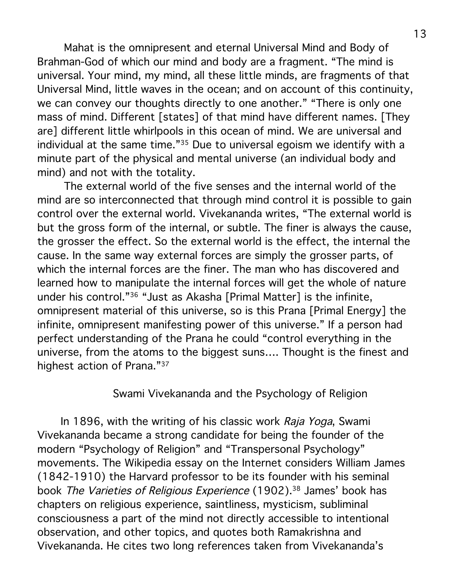Mahat is the omnipresent and eternal Universal Mind and Body of Brahman-God of which our mind and body are a fragment. "The mind is universal. Your mind, my mind, all these little minds, are fragments of that Universal Mind, little waves in the ocean; and on account of this continuity, we can convey our thoughts directly to one another." "There is only one mass of mind. Different [states] of that mind have different names. [They are] different little whirlpools in this ocean of mind. We are universal and individual at the same time."35 Due to universal egoism we identify with a minute part of the physical and mental universe (an individual body and mind) and not with the totality.

The external world of the five senses and the internal world of the mind are so interconnected that through mind control it is possible to gain control over the external world. Vivekananda writes, "The external world is but the gross form of the internal, or subtle. The finer is always the cause, the grosser the effect. So the external world is the effect, the internal the cause. In the same way external forces are simply the grosser parts, of which the internal forces are the finer. The man who has discovered and learned how to manipulate the internal forces will get the whole of nature under his control."36 "Just as Akasha [Primal Matter] is the infinite, omnipresent material of this universe, so is this Prana [Primal Energy] the infinite, omnipresent manifesting power of this universe." If a person had perfect understanding of the Prana he could "control everything in the universe, from the atoms to the biggest suns…. Thought is the finest and highest action of Prana."37

## Swami Vivekananda and the Psychology of Religion

In 1896, with the writing of his classic work Raja Yoga, Swami Vivekananda became a strong candidate for being the founder of the modern "Psychology of Religion" and "Transpersonal Psychology" movements. The Wikipedia essay on the Internet considers William James (1842-1910) the Harvard professor to be its founder with his seminal book The Varieties of Religious Experience (1902).<sup>38</sup> James' book has chapters on religious experience, saintliness, mysticism, subliminal consciousness a part of the mind not directly accessible to intentional observation, and other topics, and quotes both Ramakrishna and Vivekananda. He cites two long references taken from Vivekananda's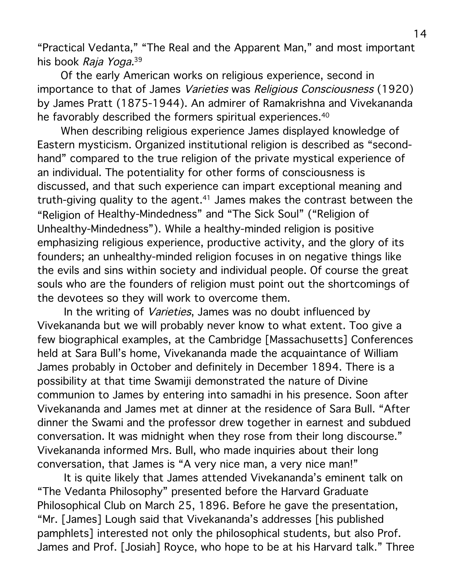"Practical Vedanta," "The Real and the Apparent Man," and most important his book Raja Yoga.<sup>39</sup>

Of the early American works on religious experience, second in importance to that of James Varieties was Religious Consciousness (1920) by James Pratt (1875-1944). An admirer of Ramakrishna and Vivekananda he favorably described the formers spiritual experiences.<sup>40</sup>

When describing religious experience James displayed knowledge of Eastern mysticism. Organized institutional religion is described as "secondhand" compared to the true religion of the private mystical experience of an individual. The potentiality for other forms of consciousness is discussed, and that such experience can impart exceptional meaning and truth-giving quality to the agent. $41$  James makes the contrast between the "Religion of Healthy-Mindedness" and "The Sick Soul" ("Religion of Unhealthy-Mindedness"). While a healthy-minded religion is positive emphasizing religious experience, productive activity, and the glory of its founders; an unhealthy-minded religion focuses in on negative things like the evils and sins within society and individual people. Of course the great souls who are the founders of religion must point out the shortcomings of the devotees so they will work to overcome them.

In the writing of *Varieties*, James was no doubt influenced by Vivekananda but we will probably never know to what extent. Too give a few biographical examples, at the Cambridge [Massachusetts] Conferences held at Sara Bull's home, Vivekananda made the acquaintance of William James probably in October and definitely in December 1894. There is a possibility at that time Swamiji demonstrated the nature of Divine communion to James by entering into samadhi in his presence. Soon after Vivekananda and James met at dinner at the residence of Sara Bull. "After dinner the Swami and the professor drew together in earnest and subdued conversation. It was midnight when they rose from their long discourse." Vivekananda informed Mrs. Bull, who made inquiries about their long conversation, that James is "A very nice man, a very nice man!"

It is quite likely that James attended Vivekananda's eminent talk on "The Vedanta Philosophy" presented before the Harvard Graduate Philosophical Club on March 25, 1896. Before he gave the presentation, "Mr. [James] Lough said that Vivekananda's addresses [his published pamphlets] interested not only the philosophical students, but also Prof. James and Prof. [Josiah] Royce, who hope to be at his Harvard talk." Three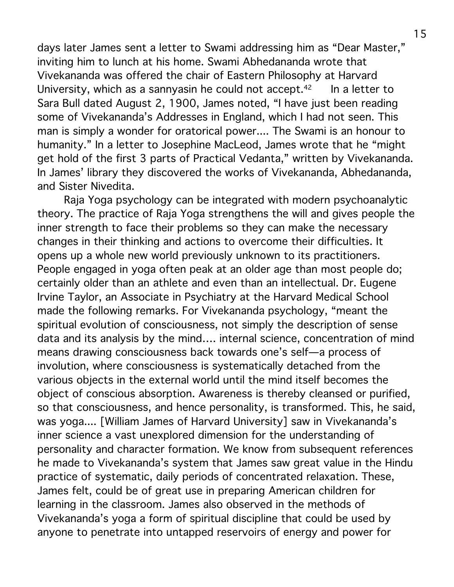days later James sent a letter to Swami addressing him as "Dear Master," inviting him to lunch at his home. Swami Abhedananda wrote that Vivekananda was offered the chair of Eastern Philosophy at Harvard University, which as a sannyasin he could not accept. $42$  In a letter to Sara Bull dated August 2, 1900, James noted, "I have just been reading some of Vivekananda's Addresses in England, which I had not seen. This man is simply a wonder for oratorical power.... The Swami is an honour to humanity." In a letter to Josephine MacLeod, James wrote that he "might get hold of the first 3 parts of Practical Vedanta," written by Vivekananda. In James' library they discovered the works of Vivekananda, Abhedananda, and Sister Nivedita.

Raja Yoga psychology can be integrated with modern psychoanalytic theory. The practice of Raja Yoga strengthens the will and gives people the inner strength to face their problems so they can make the necessary changes in their thinking and actions to overcome their difficulties. It opens up a whole new world previously unknown to its practitioners. People engaged in yoga often peak at an older age than most people do; certainly older than an athlete and even than an intellectual. Dr. Eugene Irvine Taylor, an Associate in Psychiatry at the Harvard Medical School made the following remarks. For Vivekananda psychology, "meant the spiritual evolution of consciousness, not simply the description of sense data and its analysis by the mind…. internal science, concentration of mind means drawing consciousness back towards one's self—a process of involution, where consciousness is systematically detached from the various objects in the external world until the mind itself becomes the object of conscious absorption. Awareness is thereby cleansed or purified, so that consciousness, and hence personality, is transformed. This, he said, was yoga.... [William James of Harvard University] saw in Vivekananda's inner science a vast unexplored dimension for the understanding of personality and character formation. We know from subsequent references he made to Vivekananda's system that James saw great value in the Hindu practice of systematic, daily periods of concentrated relaxation. These, James felt, could be of great use in preparing American children for learning in the classroom. James also observed in the methods of Vivekananda's yoga a form of spiritual discipline that could be used by anyone to penetrate into untapped reservoirs of energy and power for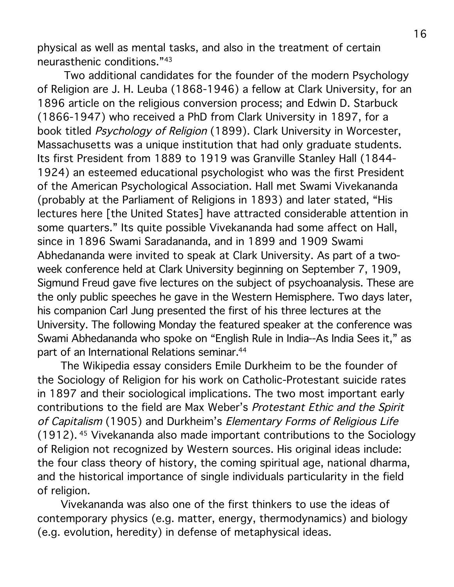physical as well as mental tasks, and also in the treatment of certain neurasthenic conditions."43

Two additional candidates for the founder of the modern Psychology of Religion are J. H. Leuba (1868-1946) a fellow at Clark University, for an 1896 article on the religious conversion process; and Edwin D. Starbuck (1866-1947) who received a PhD from Clark University in 1897, for a book titled Psychology of Religion (1899). Clark University in Worcester, Massachusetts was a unique institution that had only graduate students. Its first President from 1889 to 1919 was Granville Stanley Hall (1844- 1924) an esteemed educational psychologist who was the first President of the American Psychological Association. Hall met Swami Vivekananda (probably at the Parliament of Religions in 1893) and later stated, "His lectures here [the United States] have attracted considerable attention in some quarters." Its quite possible Vivekananda had some affect on Hall, since in 1896 Swami Saradananda, and in 1899 and 1909 Swami Abhedananda were invited to speak at Clark University. As part of a twoweek conference held at Clark University beginning on September 7, 1909, Sigmund Freud gave five lectures on the subject of psychoanalysis. These are the only public speeches he gave in the Western Hemisphere. Two days later, his companion Carl Jung presented the first of his three lectures at the University. The following Monday the featured speaker at the conference was Swami Abhedananda who spoke on "English Rule in India--As India Sees it," as part of an International Relations seminar.<sup>44</sup>

The Wikipedia essay considers Emile Durkheim to be the founder of the Sociology of Religion for his work on Catholic-Protestant suicide rates in 1897 and their sociological implications. The two most important early contributions to the field are Max Weber's Protestant Ethic and the Spirit of Capitalism (1905) and Durkheim's Elementary Forms of Religious Life (1912). <sup>45</sup> Vivekananda also made important contributions to the Sociology of Religion not recognized by Western sources. His original ideas include: the four class theory of history, the coming spiritual age, national dharma, and the historical importance of single individuals particularity in the field of religion.

Vivekananda was also one of the first thinkers to use the ideas of contemporary physics (e.g. matter, energy, thermodynamics) and biology (e.g. evolution, heredity) in defense of metaphysical ideas.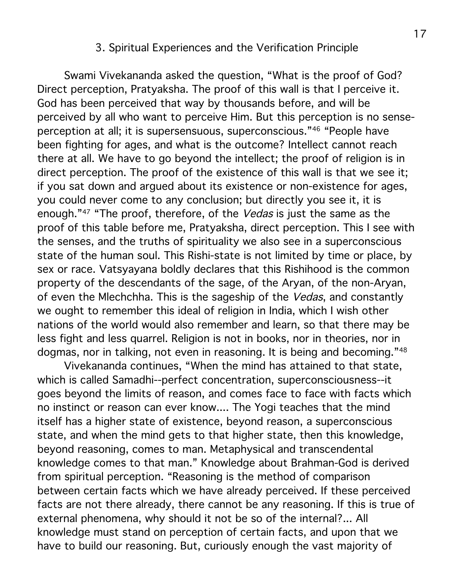#### 3. Spiritual Experiences and the Verification Principle

Swami Vivekananda asked the question, "What is the proof of God? Direct perception, Pratyaksha. The proof of this wall is that I perceive it. God has been perceived that way by thousands before, and will be perceived by all who want to perceive Him. But this perception is no senseperception at all; it is supersensuous, superconscious."46 "People have been fighting for ages, and what is the outcome? Intellect cannot reach there at all. We have to go beyond the intellect; the proof of religion is in direct perception. The proof of the existence of this wall is that we see it; if you sat down and argued about its existence or non-existence for ages, you could never come to any conclusion; but directly you see it, it is enough."<sup>47</sup> "The proof, therefore, of the *Vedas* is just the same as the proof of this table before me, Pratyaksha, direct perception. This I see with the senses, and the truths of spirituality we also see in a superconscious state of the human soul. This Rishi-state is not limited by time or place, by sex or race. Vatsyayana boldly declares that this Rishihood is the common property of the descendants of the sage, of the Aryan, of the non-Aryan, of even the Mlechchha. This is the sageship of the *Vedas*, and constantly we ought to remember this ideal of religion in India, which I wish other nations of the world would also remember and learn, so that there may be less fight and less quarrel. Religion is not in books, nor in theories, nor in dogmas, nor in talking, not even in reasoning. It is being and becoming."48

Vivekananda continues, "When the mind has attained to that state, which is called Samadhi--perfect concentration, superconsciousness--it goes beyond the limits of reason, and comes face to face with facts which no instinct or reason can ever know.... The Yogi teaches that the mind itself has a higher state of existence, beyond reason, a superconscious state, and when the mind gets to that higher state, then this knowledge, beyond reasoning, comes to man. Metaphysical and transcendental knowledge comes to that man." Knowledge about Brahman-God is derived from spiritual perception. "Reasoning is the method of comparison between certain facts which we have already perceived. If these perceived facts are not there already, there cannot be any reasoning. If this is true of external phenomena, why should it not be so of the internal?... All knowledge must stand on perception of certain facts, and upon that we have to build our reasoning. But, curiously enough the vast majority of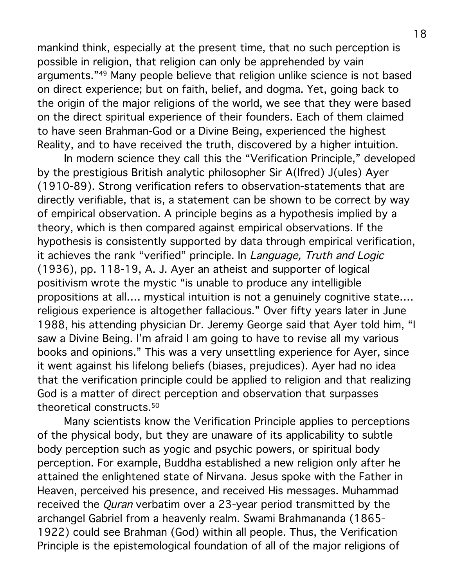mankind think, especially at the present time, that no such perception is possible in religion, that religion can only be apprehended by vain arguments."49 Many people believe that religion unlike science is not based on direct experience; but on faith, belief, and dogma. Yet, going back to the origin of the major religions of the world, we see that they were based on the direct spiritual experience of their founders. Each of them claimed to have seen Brahman-God or a Divine Being, experienced the highest Reality, and to have received the truth, discovered by a higher intuition.

In modern science they call this the "Verification Principle," developed by the prestigious British analytic philosopher Sir A(lfred) J(ules) Ayer (1910-89). Strong verification refers to observation-statements that are directly verifiable, that is, a statement can be shown to be correct by way of empirical observation. A principle begins as a hypothesis implied by a theory, which is then compared against empirical observations. If the hypothesis is consistently supported by data through empirical verification, it achieves the rank "verified" principle. In Language, Truth and Logic (1936), pp. 118-19, A. J. Ayer an atheist and supporter of logical positivism wrote the mystic "is unable to produce any intelligible propositions at all…. mystical intuition is not a genuinely cognitive state…. religious experience is altogether fallacious." Over fifty years later in June 1988, his attending physician Dr. Jeremy George said that Ayer told him, "I saw a Divine Being. I'm afraid I am going to have to revise all my various books and opinions." This was a very unsettling experience for Ayer, since it went against his lifelong beliefs (biases, prejudices). Ayer had no idea that the verification principle could be applied to religion and that realizing God is a matter of direct perception and observation that surpasses theoretical constructs.50

Many scientists know the Verification Principle applies to perceptions of the physical body, but they are unaware of its applicability to subtle body perception such as yogic and psychic powers, or spiritual body perception. For example, Buddha established a new religion only after he attained the enlightened state of Nirvana. Jesus spoke with the Father in Heaven, perceived his presence, and received His messages. Muhammad received the Quran verbatim over a 23-year period transmitted by the archangel Gabriel from a heavenly realm. Swami Brahmananda (1865- 1922) could see Brahman (God) within all people. Thus, the Verification Principle is the epistemological foundation of all of the major religions of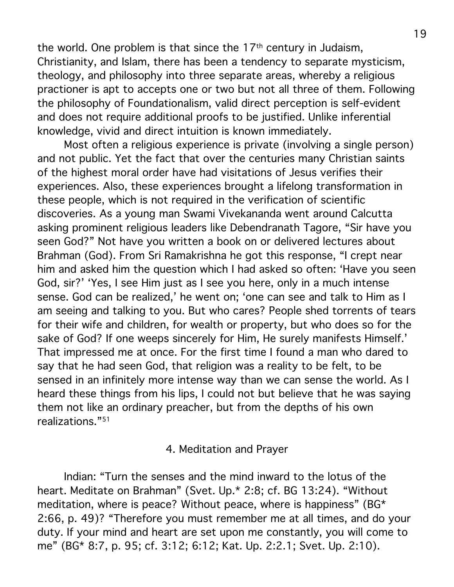the world. One problem is that since the  $17<sup>th</sup>$  century in Judaism, Christianity, and Islam, there has been a tendency to separate mysticism, theology, and philosophy into three separate areas, whereby a religious practioner is apt to accepts one or two but not all three of them. Following the philosophy of Foundationalism, valid direct perception is self-evident and does not require additional proofs to be justified. Unlike inferential knowledge, vivid and direct intuition is known immediately.

Most often a religious experience is private (involving a single person) and not public. Yet the fact that over the centuries many Christian saints of the highest moral order have had visitations of Jesus verifies their experiences. Also, these experiences brought a lifelong transformation in these people, which is not required in the verification of scientific discoveries. As a young man Swami Vivekananda went around Calcutta asking prominent religious leaders like Debendranath Tagore, "Sir have you seen God?" Not have you written a book on or delivered lectures about Brahman (God). From Sri Ramakrishna he got this response, "I crept near him and asked him the question which I had asked so often: 'Have you seen God, sir?' 'Yes, I see Him just as I see you here, only in a much intense sense. God can be realized,' he went on; 'one can see and talk to Him as I am seeing and talking to you. But who cares? People shed torrents of tears for their wife and children, for wealth or property, but who does so for the sake of God? If one weeps sincerely for Him, He surely manifests Himself.' That impressed me at once. For the first time I found a man who dared to say that he had seen God, that religion was a reality to be felt, to be sensed in an infinitely more intense way than we can sense the world. As I heard these things from his lips, I could not but believe that he was saying them not like an ordinary preacher, but from the depths of his own realizations."51

#### 4. Meditation and Prayer

Indian: "Turn the senses and the mind inward to the lotus of the heart. Meditate on Brahman" (Svet. Up.\* 2:8; cf. BG 13:24). "Without meditation, where is peace? Without peace, where is happiness" (BG\* 2:66, p. 49)? "Therefore you must remember me at all times, and do your duty. If your mind and heart are set upon me constantly, you will come to me" (BG\* 8:7, p. 95; cf. 3:12; 6:12; Kat. Up. 2:2.1; Svet. Up. 2:10).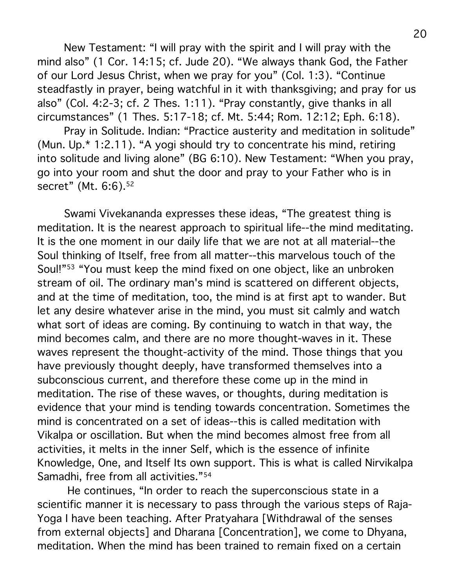New Testament: "I will pray with the spirit and I will pray with the mind also" (1 Cor. 14:15; cf. Jude 20). "We always thank God, the Father of our Lord Jesus Christ, when we pray for you" (Col. 1:3). "Continue steadfastly in prayer, being watchful in it with thanksgiving; and pray for us also" (Col. 4:2-3; cf. 2 Thes. 1:11). "Pray constantly, give thanks in all circumstances" (1 Thes. 5:17-18; cf. Mt. 5:44; Rom. 12:12; Eph. 6:18).

Pray in Solitude. Indian: "Practice austerity and meditation in solitude" (Mun. Up.\* 1:2.11). "A yogi should try to concentrate his mind, retiring into solitude and living alone" (BG 6:10). New Testament: "When you pray, go into your room and shut the door and pray to your Father who is in secret" (Mt. 6:6).<sup>52</sup>

Swami Vivekananda expresses these ideas, "The greatest thing is meditation. It is the nearest approach to spiritual life--the mind meditating. It is the one moment in our daily life that we are not at all material--the Soul thinking of Itself, free from all matter--this marvelous touch of the Soul!"53 "You must keep the mind fixed on one object, like an unbroken stream of oil. The ordinary man's mind is scattered on different objects, and at the time of meditation, too, the mind is at first apt to wander. But let any desire whatever arise in the mind, you must sit calmly and watch what sort of ideas are coming. By continuing to watch in that way, the mind becomes calm, and there are no more thought-waves in it. These waves represent the thought-activity of the mind. Those things that you have previously thought deeply, have transformed themselves into a subconscious current, and therefore these come up in the mind in meditation. The rise of these waves, or thoughts, during meditation is evidence that your mind is tending towards concentration. Sometimes the mind is concentrated on a set of ideas--this is called meditation with Vikalpa or oscillation. But when the mind becomes almost free from all activities, it melts in the inner Self, which is the essence of infinite Knowledge, One, and Itself Its own support. This is what is called Nirvikalpa Samadhi, free from all activities."54

 He continues, "In order to reach the superconscious state in a scientific manner it is necessary to pass through the various steps of Raja-Yoga I have been teaching. After Pratyahara [Withdrawal of the senses from external objects] and Dharana [Concentration], we come to Dhyana, meditation. When the mind has been trained to remain fixed on a certain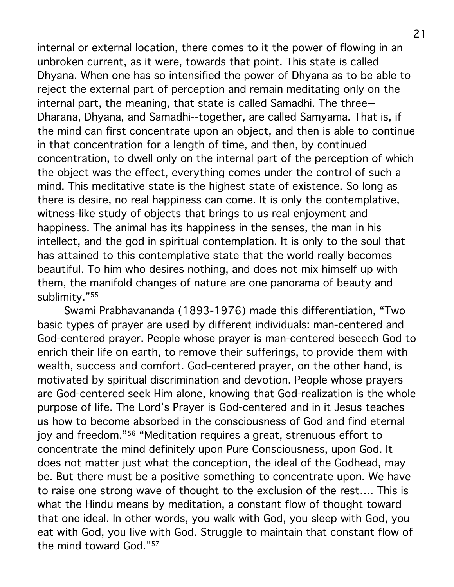internal or external location, there comes to it the power of flowing in an unbroken current, as it were, towards that point. This state is called Dhyana. When one has so intensified the power of Dhyana as to be able to reject the external part of perception and remain meditating only on the internal part, the meaning, that state is called Samadhi. The three-- Dharana, Dhyana, and Samadhi--together, are called Samyama. That is, if the mind can first concentrate upon an object, and then is able to continue in that concentration for a length of time, and then, by continued concentration, to dwell only on the internal part of the perception of which the object was the effect, everything comes under the control of such a mind. This meditative state is the highest state of existence. So long as there is desire, no real happiness can come. It is only the contemplative, witness-like study of objects that brings to us real enjoyment and happiness. The animal has its happiness in the senses, the man in his intellect, and the god in spiritual contemplation. It is only to the soul that has attained to this contemplative state that the world really becomes beautiful. To him who desires nothing, and does not mix himself up with them, the manifold changes of nature are one panorama of beauty and sublimity."55

Swami Prabhavananda (1893-1976) made this differentiation, "Two basic types of prayer are used by different individuals: man-centered and God-centered prayer. People whose prayer is man-centered beseech God to enrich their life on earth, to remove their sufferings, to provide them with wealth, success and comfort. God-centered prayer, on the other hand, is motivated by spiritual discrimination and devotion. People whose prayers are God-centered seek Him alone, knowing that God-realization is the whole purpose of life. The Lord's Prayer is God-centered and in it Jesus teaches us how to become absorbed in the consciousness of God and find eternal joy and freedom."56 "Meditation requires a great, strenuous effort to concentrate the mind definitely upon Pure Consciousness, upon God. It does not matter just what the conception, the ideal of the Godhead, may be. But there must be a positive something to concentrate upon. We have to raise one strong wave of thought to the exclusion of the rest…. This is what the Hindu means by meditation, a constant flow of thought toward that one ideal. In other words, you walk with God, you sleep with God, you eat with God, you live with God. Struggle to maintain that constant flow of the mind toward God."57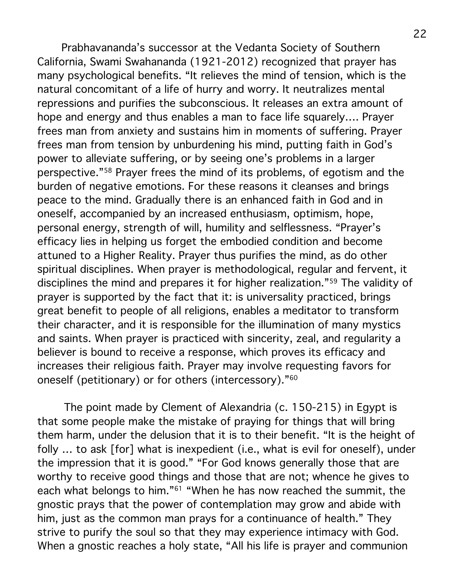Prabhavananda's successor at the Vedanta Society of Southern California, Swami Swahananda (1921-2012) recognized that prayer has many psychological benefits. "It relieves the mind of tension, which is the natural concomitant of a life of hurry and worry. It neutralizes mental repressions and purifies the subconscious. It releases an extra amount of hope and energy and thus enables a man to face life squarely…. Prayer frees man from anxiety and sustains him in moments of suffering. Prayer frees man from tension by unburdening his mind, putting faith in God's power to alleviate suffering, or by seeing one's problems in a larger perspective."58 Prayer frees the mind of its problems, of egotism and the burden of negative emotions. For these reasons it cleanses and brings peace to the mind. Gradually there is an enhanced faith in God and in oneself, accompanied by an increased enthusiasm, optimism, hope, personal energy, strength of will, humility and selflessness. "Prayer's efficacy lies in helping us forget the embodied condition and become attuned to a Higher Reality. Prayer thus purifies the mind, as do other spiritual disciplines. When prayer is methodological, regular and fervent, it disciplines the mind and prepares it for higher realization."59 The validity of prayer is supported by the fact that it: is universality practiced, brings great benefit to people of all religions, enables a meditator to transform their character, and it is responsible for the illumination of many mystics and saints. When prayer is practiced with sincerity, zeal, and regularity a believer is bound to receive a response, which proves its efficacy and increases their religious faith. Prayer may involve requesting favors for oneself (petitionary) or for others (intercessory)."60

The point made by Clement of Alexandria (c. 150-215) in Egypt is that some people make the mistake of praying for things that will bring them harm, under the delusion that it is to their benefit. "It is the height of folly … to ask [for] what is inexpedient (i.e., what is evil for oneself), under the impression that it is good." "For God knows generally those that are worthy to receive good things and those that are not; whence he gives to each what belongs to him."61 "When he has now reached the summit, the gnostic prays that the power of contemplation may grow and abide with him, just as the common man prays for a continuance of health." They strive to purify the soul so that they may experience intimacy with God. When a gnostic reaches a holy state, "All his life is prayer and communion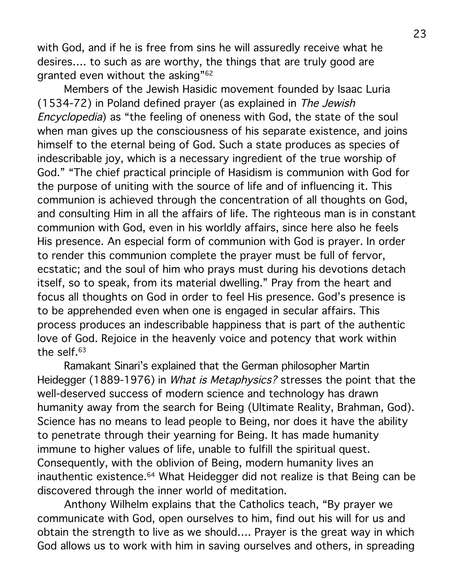with God, and if he is free from sins he will assuredly receive what he desires…. to such as are worthy, the things that are truly good are granted even without the asking"62

Members of the Jewish Hasidic movement founded by Isaac Luria (1534-72) in Poland defined prayer (as explained in The Jewish Encyclopedia) as "the feeling of oneness with God, the state of the soul when man gives up the consciousness of his separate existence, and joins himself to the eternal being of God. Such a state produces as species of indescribable joy, which is a necessary ingredient of the true worship of God." "The chief practical principle of Hasidism is communion with God for the purpose of uniting with the source of life and of influencing it. This communion is achieved through the concentration of all thoughts on God, and consulting Him in all the affairs of life. The righteous man is in constant communion with God, even in his worldly affairs, since here also he feels His presence. An especial form of communion with God is prayer. In order to render this communion complete the prayer must be full of fervor, ecstatic; and the soul of him who prays must during his devotions detach itself, so to speak, from its material dwelling." Pray from the heart and focus all thoughts on God in order to feel His presence. God's presence is to be apprehended even when one is engaged in secular affairs. This process produces an indescribable happiness that is part of the authentic love of God. Rejoice in the heavenly voice and potency that work within the self.63

Ramakant Sinari's explained that the German philosopher Martin Heidegger (1889-1976) in What is Metaphysics? stresses the point that the well-deserved success of modern science and technology has drawn humanity away from the search for Being (Ultimate Reality, Brahman, God). Science has no means to lead people to Being, nor does it have the ability to penetrate through their yearning for Being. It has made humanity immune to higher values of life, unable to fulfill the spiritual quest. Consequently, with the oblivion of Being, modern humanity lives an inauthentic existence.64 What Heidegger did not realize is that Being can be discovered through the inner world of meditation.

Anthony Wilhelm explains that the Catholics teach, "By prayer we communicate with God, open ourselves to him, find out his will for us and obtain the strength to live as we should…. Prayer is the great way in which God allows us to work with him in saving ourselves and others, in spreading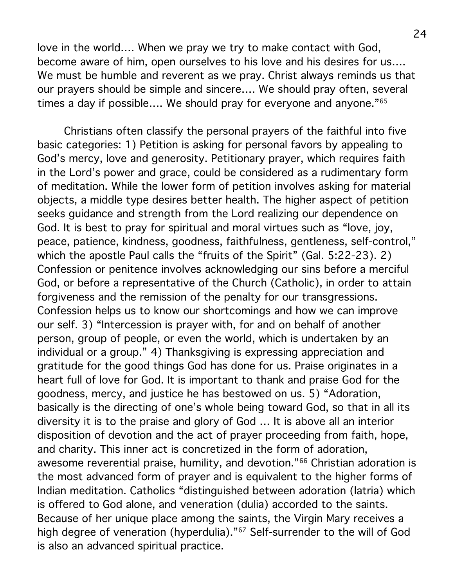love in the world…. When we pray we try to make contact with God, become aware of him, open ourselves to his love and his desires for us…. We must be humble and reverent as we pray. Christ always reminds us that our prayers should be simple and sincere…. We should pray often, several times a day if possible…. We should pray for everyone and anyone."65

Christians often classify the personal prayers of the faithful into five basic categories: 1) Petition is asking for personal favors by appealing to God's mercy, love and generosity. Petitionary prayer, which requires faith in the Lord's power and grace, could be considered as a rudimentary form of meditation. While the lower form of petition involves asking for material objects, a middle type desires better health. The higher aspect of petition seeks guidance and strength from the Lord realizing our dependence on God. It is best to pray for spiritual and moral virtues such as "love, joy, peace, patience, kindness, goodness, faithfulness, gentleness, self-control," which the apostle Paul calls the "fruits of the Spirit" (Gal. 5:22-23). 2) Confession or penitence involves acknowledging our sins before a merciful God, or before a representative of the Church (Catholic), in order to attain forgiveness and the remission of the penalty for our transgressions. Confession helps us to know our shortcomings and how we can improve our self. 3) "Intercession is prayer with, for and on behalf of another person, group of people, or even the world, which is undertaken by an individual or a group." 4) Thanksgiving is expressing appreciation and gratitude for the good things God has done for us. Praise originates in a heart full of love for God. It is important to thank and praise God for the goodness, mercy, and justice he has bestowed on us. 5) "Adoration, basically is the directing of one's whole being toward God, so that in all its diversity it is to the praise and glory of God … It is above all an interior disposition of devotion and the act of prayer proceeding from faith, hope, and charity. This inner act is concretized in the form of adoration, awesome reverential praise, humility, and devotion."66 Christian adoration is the most advanced form of prayer and is equivalent to the higher forms of Indian meditation. Catholics "distinguished between adoration (latria) which is offered to God alone, and veneration (dulia) accorded to the saints. Because of her unique place among the saints, the Virgin Mary receives a high degree of veneration (hyperdulia)."67 Self-surrender to the will of God is also an advanced spiritual practice.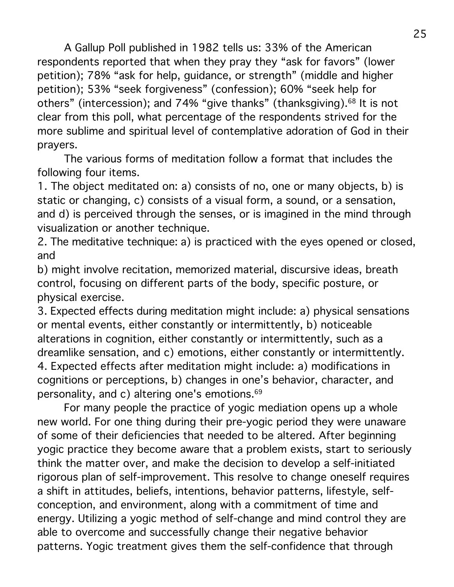A Gallup Poll published in 1982 tells us: 33% of the American respondents reported that when they pray they "ask for favors" (lower petition); 78% "ask for help, guidance, or strength" (middle and higher petition); 53% "seek forgiveness" (confession); 60% "seek help for others" (intercession); and 74% "give thanks" (thanksgiving).<sup>68</sup> It is not clear from this poll, what percentage of the respondents strived for the more sublime and spiritual level of contemplative adoration of God in their prayers.

The various forms of meditation follow a format that includes the following four items.

1. The object meditated on: a) consists of no, one or many objects, b) is static or changing, c) consists of a visual form, a sound, or a sensation, and d) is perceived through the senses, or is imagined in the mind through visualization or another technique.

2. The meditative technique: a) is practiced with the eyes opened or closed, and

b) might involve recitation, memorized material, discursive ideas, breath control, focusing on different parts of the body, specific posture, or physical exercise.

3. Expected effects during meditation might include: a) physical sensations or mental events, either constantly or intermittently, b) noticeable alterations in cognition, either constantly or intermittently, such as a dreamlike sensation, and c) emotions, either constantly or intermittently. 4. Expected effects after meditation might include: a) modifications in cognitions or perceptions, b) changes in one's behavior, character, and personality, and c) altering one's emotions.69

For many people the practice of yogic mediation opens up a whole new world. For one thing during their pre-yogic period they were unaware of some of their deficiencies that needed to be altered. After beginning yogic practice they become aware that a problem exists, start to seriously think the matter over, and make the decision to develop a self-initiated rigorous plan of self-improvement. This resolve to change oneself requires a shift in attitudes, beliefs, intentions, behavior patterns, lifestyle, selfconception, and environment, along with a commitment of time and energy. Utilizing a yogic method of self-change and mind control they are able to overcome and successfully change their negative behavior patterns. Yogic treatment gives them the self-confidence that through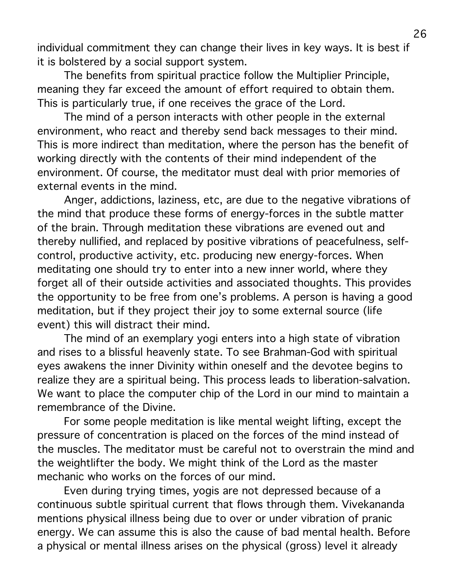individual commitment they can change their lives in key ways. It is best if it is bolstered by a social support system.

The benefits from spiritual practice follow the Multiplier Principle, meaning they far exceed the amount of effort required to obtain them. This is particularly true, if one receives the grace of the Lord.

The mind of a person interacts with other people in the external environment, who react and thereby send back messages to their mind. This is more indirect than meditation, where the person has the benefit of working directly with the contents of their mind independent of the environment. Of course, the meditator must deal with prior memories of external events in the mind.

Anger, addictions, laziness, etc, are due to the negative vibrations of the mind that produce these forms of energy-forces in the subtle matter of the brain. Through meditation these vibrations are evened out and thereby nullified, and replaced by positive vibrations of peacefulness, selfcontrol, productive activity, etc. producing new energy-forces. When meditating one should try to enter into a new inner world, where they forget all of their outside activities and associated thoughts. This provides the opportunity to be free from one's problems. A person is having a good meditation, but if they project their joy to some external source (life event) this will distract their mind.

The mind of an exemplary yogi enters into a high state of vibration and rises to a blissful heavenly state. To see Brahman-God with spiritual eyes awakens the inner Divinity within oneself and the devotee begins to realize they are a spiritual being. This process leads to liberation-salvation. We want to place the computer chip of the Lord in our mind to maintain a remembrance of the Divine.

For some people meditation is like mental weight lifting, except the pressure of concentration is placed on the forces of the mind instead of the muscles. The meditator must be careful not to overstrain the mind and the weightlifter the body. We might think of the Lord as the master mechanic who works on the forces of our mind.

Even during trying times, yogis are not depressed because of a continuous subtle spiritual current that flows through them. Vivekananda mentions physical illness being due to over or under vibration of pranic energy. We can assume this is also the cause of bad mental health. Before a physical or mental illness arises on the physical (gross) level it already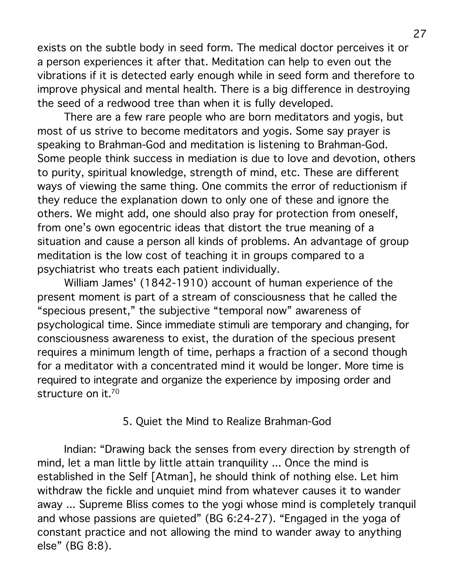exists on the subtle body in seed form. The medical doctor perceives it or a person experiences it after that. Meditation can help to even out the vibrations if it is detected early enough while in seed form and therefore to improve physical and mental health. There is a big difference in destroying the seed of a redwood tree than when it is fully developed.

There are a few rare people who are born meditators and yogis, but most of us strive to become meditators and yogis. Some say prayer is speaking to Brahman-God and meditation is listening to Brahman-God. Some people think success in mediation is due to love and devotion, others to purity, spiritual knowledge, strength of mind, etc. These are different ways of viewing the same thing. One commits the error of reductionism if they reduce the explanation down to only one of these and ignore the others. We might add, one should also pray for protection from oneself, from one's own egocentric ideas that distort the true meaning of a situation and cause a person all kinds of problems. An advantage of group meditation is the low cost of teaching it in groups compared to a psychiatrist who treats each patient individually.

William James' (1842-1910) account of human experience of the present moment is part of a stream of consciousness that he called the "specious present," the subjective "temporal now" awareness of psychological time. Since immediate stimuli are temporary and changing, for consciousness awareness to exist, the duration of the specious present requires a minimum length of time, perhaps a fraction of a second though for a meditator with a concentrated mind it would be longer. More time is required to integrate and organize the experience by imposing order and structure on it. 70

## 5. Quiet the Mind to Realize Brahman-God

 Indian: "Drawing back the senses from every direction by strength of mind, let a man little by little attain tranquility ... Once the mind is established in the Self [Atman], he should think of nothing else. Let him withdraw the fickle and unquiet mind from whatever causes it to wander away ... Supreme Bliss comes to the yogi whose mind is completely tranquil and whose passions are quieted" (BG 6:24-27). "Engaged in the yoga of constant practice and not allowing the mind to wander away to anything else" (BG 8:8).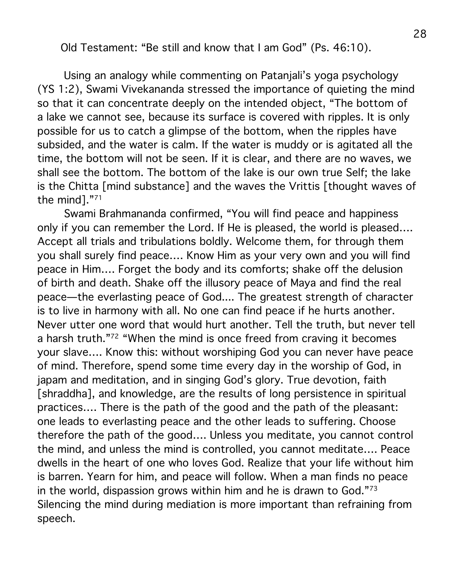Old Testament: "Be still and know that I am God" (Ps. 46:10).

Using an analogy while commenting on Patanjali's yoga psychology (YS 1:2), Swami Vivekananda stressed the importance of quieting the mind so that it can concentrate deeply on the intended object, "The bottom of a lake we cannot see, because its surface is covered with ripples. It is only possible for us to catch a glimpse of the bottom, when the ripples have subsided, and the water is calm. If the water is muddy or is agitated all the time, the bottom will not be seen. If it is clear, and there are no waves, we shall see the bottom. The bottom of the lake is our own true Self; the lake is the Chitta [mind substance] and the waves the Vrittis [thought waves of the mind]."71

Swami Brahmananda confirmed, "You will find peace and happiness only if you can remember the Lord. If He is pleased, the world is pleased…. Accept all trials and tribulations boldly. Welcome them, for through them you shall surely find peace…. Know Him as your very own and you will find peace in Him…. Forget the body and its comforts; shake off the delusion of birth and death. Shake off the illusory peace of Maya and find the real peace—the everlasting peace of God.... The greatest strength of character is to live in harmony with all. No one can find peace if he hurts another. Never utter one word that would hurt another. Tell the truth, but never tell a harsh truth."72 "When the mind is once freed from craving it becomes your slave…. Know this: without worshiping God you can never have peace of mind. Therefore, spend some time every day in the worship of God, in japam and meditation, and in singing God's glory. True devotion, faith [shraddha], and knowledge, are the results of long persistence in spiritual practices…. There is the path of the good and the path of the pleasant: one leads to everlasting peace and the other leads to suffering. Choose therefore the path of the good…. Unless you meditate, you cannot control the mind, and unless the mind is controlled, you cannot meditate…. Peace dwells in the heart of one who loves God. Realize that your life without him is barren. Yearn for him, and peace will follow. When a man finds no peace in the world, dispassion grows within him and he is drawn to God."73 Silencing the mind during mediation is more important than refraining from speech.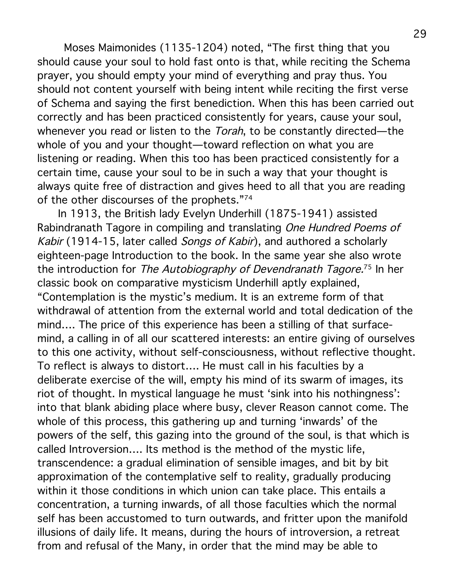Moses Maimonides (1135-1204) noted, "The first thing that you should cause your soul to hold fast onto is that, while reciting the Schema prayer, you should empty your mind of everything and pray thus. You should not content yourself with being intent while reciting the first verse of Schema and saying the first benediction. When this has been carried out correctly and has been practiced consistently for years, cause your soul, whenever you read or listen to the *Torah*, to be constantly directed—the whole of you and your thought—toward reflection on what you are listening or reading. When this too has been practiced consistently for a certain time, cause your soul to be in such a way that your thought is always quite free of distraction and gives heed to all that you are reading of the other discourses of the prophets."74

In 1913, the British lady Evelyn Underhill (1875-1941) assisted Rabindranath Tagore in compiling and translating One Hundred Poems of Kabir (1914-15, later called Songs of Kabir), and authored a scholarly eighteen-page Introduction to the book. In the same year she also wrote the introduction for The Autobiography of Devendranath Tagore.<sup>75</sup> In her classic book on comparative mysticism Underhill aptly explained, "Contemplation is the mystic's medium. It is an extreme form of that withdrawal of attention from the external world and total dedication of the mind…. The price of this experience has been a stilling of that surfacemind, a calling in of all our scattered interests: an entire giving of ourselves to this one activity, without self-consciousness, without reflective thought. To reflect is always to distort…. He must call in his faculties by a deliberate exercise of the will, empty his mind of its swarm of images, its riot of thought. In mystical language he must 'sink into his nothingness': into that blank abiding place where busy, clever Reason cannot come. The whole of this process, this gathering up and turning 'inwards' of the powers of the self, this gazing into the ground of the soul, is that which is called Introversion…. Its method is the method of the mystic life, transcendence: a gradual elimination of sensible images, and bit by bit approximation of the contemplative self to reality, gradually producing within it those conditions in which union can take place. This entails a concentration, a turning inwards, of all those faculties which the normal self has been accustomed to turn outwards, and fritter upon the manifold illusions of daily life. It means, during the hours of introversion, a retreat from and refusal of the Many, in order that the mind may be able to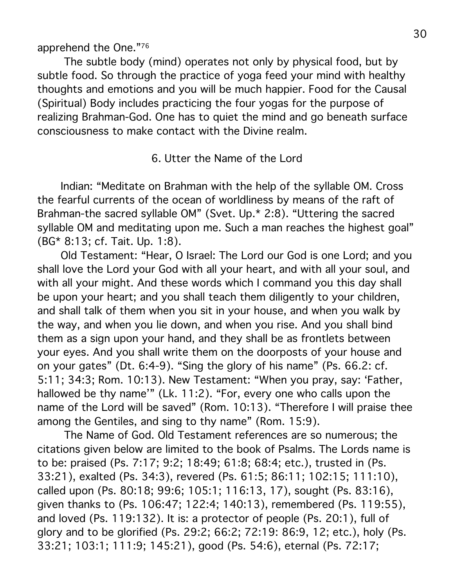apprehend the One."76

The subtle body (mind) operates not only by physical food, but by subtle food. So through the practice of yoga feed your mind with healthy thoughts and emotions and you will be much happier. Food for the Causal (Spiritual) Body includes practicing the four yogas for the purpose of realizing Brahman-God. One has to quiet the mind and go beneath surface consciousness to make contact with the Divine realm.

6. Utter the Name of the Lord

Indian: "Meditate on Brahman with the help of the syllable OM. Cross the fearful currents of the ocean of worldliness by means of the raft of Brahman-the sacred syllable OM" (Svet. Up.\* 2:8). "Uttering the sacred syllable OM and meditating upon me. Such a man reaches the highest goal" (BG\* 8:13; cf. Tait. Up. 1:8).

Old Testament: "Hear, O Israel: The Lord our God is one Lord; and you shall love the Lord your God with all your heart, and with all your soul, and with all your might. And these words which I command you this day shall be upon your heart; and you shall teach them diligently to your children, and shall talk of them when you sit in your house, and when you walk by the way, and when you lie down, and when you rise. And you shall bind them as a sign upon your hand, and they shall be as frontlets between your eyes. And you shall write them on the doorposts of your house and on your gates" (Dt. 6:4-9). "Sing the glory of his name" (Ps. 66.2: cf. 5:11; 34:3; Rom. 10:13). New Testament: "When you pray, say: 'Father, hallowed be thy name'" (Lk. 11:2). "For, every one who calls upon the name of the Lord will be saved" (Rom. 10:13). "Therefore I will praise thee among the Gentiles, and sing to thy name" (Rom. 15:9).

 The Name of God. Old Testament references are so numerous; the citations given below are limited to the book of Psalms. The Lords name is to be: praised (Ps. 7:17; 9:2; 18:49; 61:8; 68:4; etc.), trusted in (Ps. 33:21), exalted (Ps. 34:3), revered (Ps. 61:5; 86:11; 102:15; 111:10), called upon (Ps. 80:18; 99:6; 105:1; 116:13, 17), sought (Ps. 83:16), given thanks to (Ps. 106:47; 122:4; 140:13), remembered (Ps. 119:55), and loved (Ps. 119:132). It is: a protector of people (Ps. 20:1), full of glory and to be glorified (Ps. 29:2; 66:2; 72:19: 86:9, 12; etc.), holy (Ps. 33:21; 103:1; 111:9; 145:21), good (Ps. 54:6), eternal (Ps. 72:17;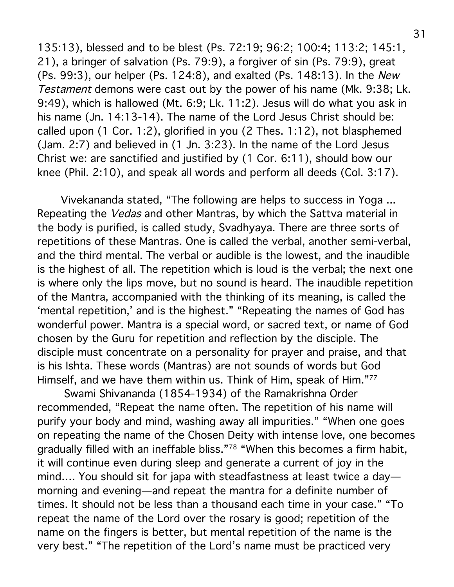135:13), blessed and to be blest (Ps. 72:19; 96:2; 100:4; 113:2; 145:1, 21), a bringer of salvation (Ps. 79:9), a forgiver of sin (Ps. 79:9), great (Ps. 99:3), our helper (Ps. 124:8), and exalted (Ps. 148:13). In the New Testament demons were cast out by the power of his name (Mk. 9:38; Lk. 9:49), which is hallowed (Mt. 6:9; Lk. 11:2). Jesus will do what you ask in his name (Jn. 14:13-14). The name of the Lord Jesus Christ should be: called upon (1 Cor. 1:2), glorified in you (2 Thes. 1:12), not blasphemed (Jam. 2:7) and believed in (1 Jn. 3:23). In the name of the Lord Jesus Christ we: are sanctified and justified by (1 Cor. 6:11), should bow our knee (Phil. 2:10), and speak all words and perform all deeds (Col. 3:17).

Vivekananda stated, "The following are helps to success in Yoga ... Repeating the Vedas and other Mantras, by which the Sattva material in the body is purified, is called study, Svadhyaya. There are three sorts of repetitions of these Mantras. One is called the verbal, another semi-verbal, and the third mental. The verbal or audible is the lowest, and the inaudible is the highest of all. The repetition which is loud is the verbal; the next one is where only the lips move, but no sound is heard. The inaudible repetition of the Mantra, accompanied with the thinking of its meaning, is called the 'mental repetition,' and is the highest." "Repeating the names of God has wonderful power. Mantra is a special word, or sacred text, or name of God chosen by the Guru for repetition and reflection by the disciple. The disciple must concentrate on a personality for prayer and praise, and that is his Ishta. These words (Mantras) are not sounds of words but God Himself, and we have them within us. Think of Him, speak of Him."77

Swami Shivananda (1854-1934) of the Ramakrishna Order recommended, "Repeat the name often. The repetition of his name will purify your body and mind, washing away all impurities." "When one goes on repeating the name of the Chosen Deity with intense love, one becomes gradually filled with an ineffable bliss."78 "When this becomes a firm habit, it will continue even during sleep and generate a current of joy in the mind…. You should sit for japa with steadfastness at least twice a day morning and evening—and repeat the mantra for a definite number of times. It should not be less than a thousand each time in your case." "To repeat the name of the Lord over the rosary is good; repetition of the name on the fingers is better, but mental repetition of the name is the very best." "The repetition of the Lord's name must be practiced very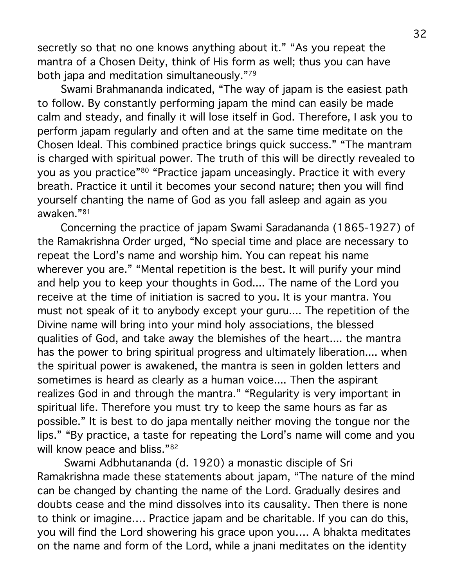secretly so that no one knows anything about it." "As you repeat the mantra of a Chosen Deity, think of His form as well; thus you can have both japa and meditation simultaneously."79

Swami Brahmananda indicated, "The way of japam is the easiest path to follow. By constantly performing japam the mind can easily be made calm and steady, and finally it will lose itself in God. Therefore, I ask you to perform japam regularly and often and at the same time meditate on the Chosen Ideal. This combined practice brings quick success." "The mantram is charged with spiritual power. The truth of this will be directly revealed to you as you practice"<sup>80</sup> "Practice japam unceasingly. Practice it with every breath. Practice it until it becomes your second nature; then you will find yourself chanting the name of God as you fall asleep and again as you awaken."81

Concerning the practice of japam Swami Saradananda (1865-1927) of the Ramakrishna Order urged, "No special time and place are necessary to repeat the Lord's name and worship him. You can repeat his name wherever you are." "Mental repetition is the best. It will purify your mind and help you to keep your thoughts in God.... The name of the Lord you receive at the time of initiation is sacred to you. It is your mantra. You must not speak of it to anybody except your guru.... The repetition of the Divine name will bring into your mind holy associations, the blessed qualities of God, and take away the blemishes of the heart.... the mantra has the power to bring spiritual progress and ultimately liberation.... when the spiritual power is awakened, the mantra is seen in golden letters and sometimes is heard as clearly as a human voice.... Then the aspirant realizes God in and through the mantra." "Regularity is very important in spiritual life. Therefore you must try to keep the same hours as far as possible." It is best to do japa mentally neither moving the tongue nor the lips." "By practice, a taste for repeating the Lord's name will come and you will know peace and bliss."<sup>82</sup>

Swami Adbhutananda (d. 1920) a monastic disciple of Sri Ramakrishna made these statements about japam, "The nature of the mind can be changed by chanting the name of the Lord. Gradually desires and doubts cease and the mind dissolves into its causality. Then there is none to think or imagine…. Practice japam and be charitable. If you can do this, you will find the Lord showering his grace upon you…. A bhakta meditates on the name and form of the Lord, while a jnani meditates on the identity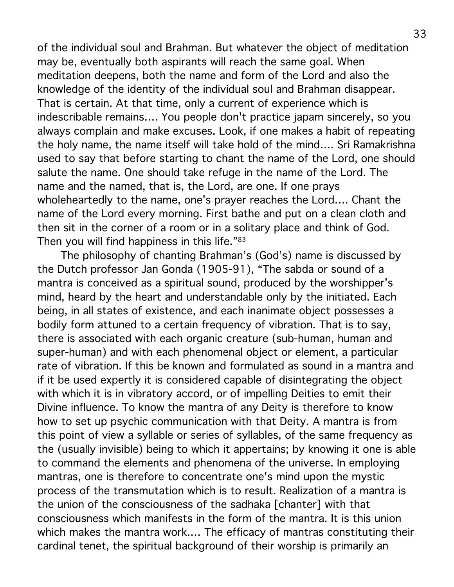of the individual soul and Brahman. But whatever the object of meditation may be, eventually both aspirants will reach the same goal. When meditation deepens, both the name and form of the Lord and also the knowledge of the identity of the individual soul and Brahman disappear. That is certain. At that time, only a current of experience which is indescribable remains…. You people don't practice japam sincerely, so you always complain and make excuses. Look, if one makes a habit of repeating the holy name, the name itself will take hold of the mind…. Sri Ramakrishna used to say that before starting to chant the name of the Lord, one should salute the name. One should take refuge in the name of the Lord. The name and the named, that is, the Lord, are one. If one prays wholeheartedly to the name, one's prayer reaches the Lord…. Chant the name of the Lord every morning. First bathe and put on a clean cloth and then sit in the corner of a room or in a solitary place and think of God. Then you will find happiness in this life."<sup>83</sup>

The philosophy of chanting Brahman's (God's) name is discussed by the Dutch professor Jan Gonda (1905-91), "The sabda or sound of a mantra is conceived as a spiritual sound, produced by the worshipper's mind, heard by the heart and understandable only by the initiated. Each being, in all states of existence, and each inanimate object possesses a bodily form attuned to a certain frequency of vibration. That is to say, there is associated with each organic creature (sub-human, human and super-human) and with each phenomenal object or element, a particular rate of vibration. If this be known and formulated as sound in a mantra and if it be used expertly it is considered capable of disintegrating the object with which it is in vibratory accord, or of impelling Deities to emit their Divine influence. To know the mantra of any Deity is therefore to know how to set up psychic communication with that Deity. A mantra is from this point of view a syllable or series of syllables, of the same frequency as the (usually invisible) being to which it appertains; by knowing it one is able to command the elements and phenomena of the universe. In employing mantras, one is therefore to concentrate one's mind upon the mystic process of the transmutation which is to result. Realization of a mantra is the union of the consciousness of the sadhaka [chanter] with that consciousness which manifests in the form of the mantra. It is this union which makes the mantra work.… The efficacy of mantras constituting their cardinal tenet, the spiritual background of their worship is primarily an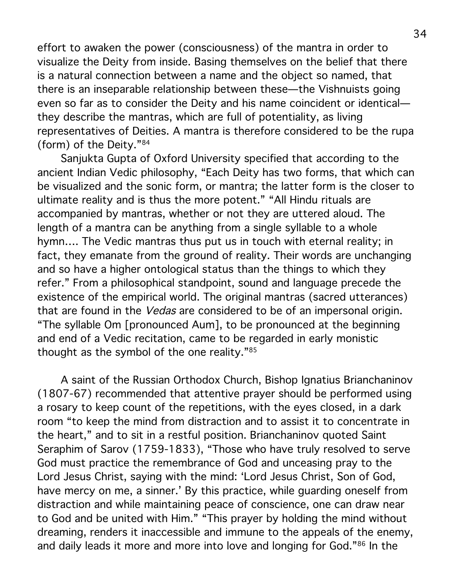effort to awaken the power (consciousness) of the mantra in order to visualize the Deity from inside. Basing themselves on the belief that there is a natural connection between a name and the object so named, that there is an inseparable relationship between these—the Vishnuists going even so far as to consider the Deity and his name coincident or identical they describe the mantras, which are full of potentiality, as living representatives of Deities. A mantra is therefore considered to be the rupa (form) of the Deity."84

Sanjukta Gupta of Oxford University specified that according to the ancient Indian Vedic philosophy, "Each Deity has two forms, that which can be visualized and the sonic form, or mantra; the latter form is the closer to ultimate reality and is thus the more potent." "All Hindu rituals are accompanied by mantras, whether or not they are uttered aloud. The length of a mantra can be anything from a single syllable to a whole hymn…. The Vedic mantras thus put us in touch with eternal reality; in fact, they emanate from the ground of reality. Their words are unchanging and so have a higher ontological status than the things to which they refer." From a philosophical standpoint, sound and language precede the existence of the empirical world. The original mantras (sacred utterances) that are found in the *Vedas* are considered to be of an impersonal origin. "The syllable Om [pronounced Aum], to be pronounced at the beginning and end of a Vedic recitation, came to be regarded in early monistic thought as the symbol of the one reality."85

A saint of the Russian Orthodox Church, Bishop Ignatius Brianchaninov (1807-67) recommended that attentive prayer should be performed using a rosary to keep count of the repetitions, with the eyes closed, in a dark room "to keep the mind from distraction and to assist it to concentrate in the heart," and to sit in a restful position. Brianchaninov quoted Saint Seraphim of Sarov (1759-1833), "Those who have truly resolved to serve God must practice the remembrance of God and unceasing pray to the Lord Jesus Christ, saying with the mind: 'Lord Jesus Christ, Son of God, have mercy on me, a sinner.' By this practice, while guarding oneself from distraction and while maintaining peace of conscience, one can draw near to God and be united with Him." "This prayer by holding the mind without dreaming, renders it inaccessible and immune to the appeals of the enemy, and daily leads it more and more into love and longing for God."86 In the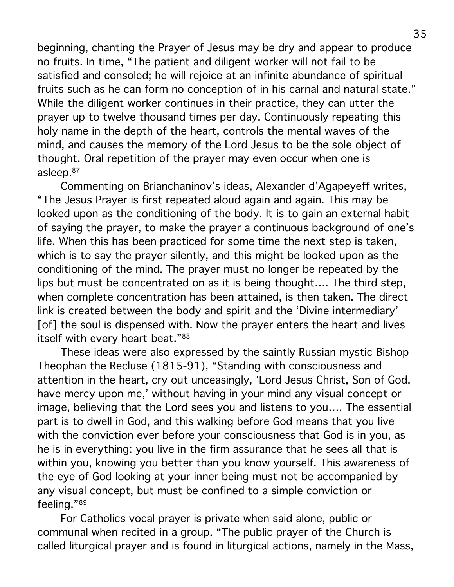beginning, chanting the Prayer of Jesus may be dry and appear to produce no fruits. In time, "The patient and diligent worker will not fail to be satisfied and consoled; he will rejoice at an infinite abundance of spiritual fruits such as he can form no conception of in his carnal and natural state." While the diligent worker continues in their practice, they can utter the prayer up to twelve thousand times per day. Continuously repeating this holy name in the depth of the heart, controls the mental waves of the mind, and causes the memory of the Lord Jesus to be the sole object of thought. Oral repetition of the prayer may even occur when one is asleep.87

Commenting on Brianchaninov's ideas, Alexander d'Agapeyeff writes, "The Jesus Prayer is first repeated aloud again and again. This may be looked upon as the conditioning of the body. It is to gain an external habit of saying the prayer, to make the prayer a continuous background of one's life. When this has been practiced for some time the next step is taken, which is to say the prayer silently, and this might be looked upon as the conditioning of the mind. The prayer must no longer be repeated by the lips but must be concentrated on as it is being thought…. The third step, when complete concentration has been attained, is then taken. The direct link is created between the body and spirit and the 'Divine intermediary' [of] the soul is dispensed with. Now the prayer enters the heart and lives itself with every heart beat."88

These ideas were also expressed by the saintly Russian mystic Bishop Theophan the Recluse (1815-91), "Standing with consciousness and attention in the heart, cry out unceasingly, 'Lord Jesus Christ, Son of God, have mercy upon me,' without having in your mind any visual concept or image, believing that the Lord sees you and listens to you…. The essential part is to dwell in God, and this walking before God means that you live with the conviction ever before your consciousness that God is in you, as he is in everything: you live in the firm assurance that he sees all that is within you, knowing you better than you know yourself. This awareness of the eye of God looking at your inner being must not be accompanied by any visual concept, but must be confined to a simple conviction or feeling."89

For Catholics vocal prayer is private when said alone, public or communal when recited in a group. "The public prayer of the Church is called liturgical prayer and is found in liturgical actions, namely in the Mass,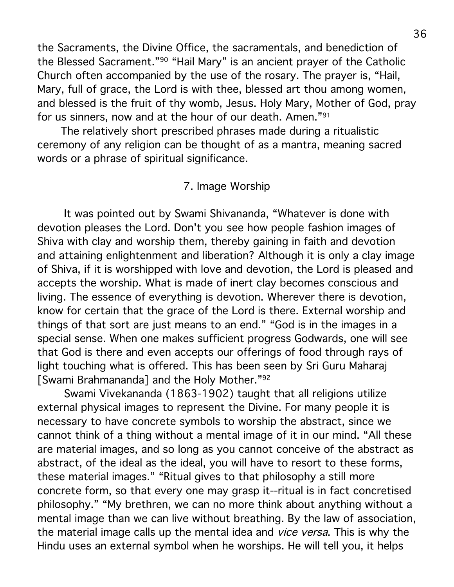the Sacraments, the Divine Office, the sacramentals, and benediction of the Blessed Sacrament."90 "Hail Mary" is an ancient prayer of the Catholic Church often accompanied by the use of the rosary. The prayer is, "Hail, Mary, full of grace, the Lord is with thee, blessed art thou among women, and blessed is the fruit of thy womb, Jesus. Holy Mary, Mother of God, pray for us sinners, now and at the hour of our death. Amen."91

The relatively short prescribed phrases made during a ritualistic ceremony of any religion can be thought of as a mantra, meaning sacred words or a phrase of spiritual significance.

### 7. Image Worship

It was pointed out by Swami Shivananda, "Whatever is done with devotion pleases the Lord. Don't you see how people fashion images of Shiva with clay and worship them, thereby gaining in faith and devotion and attaining enlightenment and liberation? Although it is only a clay image of Shiva, if it is worshipped with love and devotion, the Lord is pleased and accepts the worship. What is made of inert clay becomes conscious and living. The essence of everything is devotion. Wherever there is devotion, know for certain that the grace of the Lord is there. External worship and things of that sort are just means to an end." "God is in the images in a special sense. When one makes sufficient progress Godwards, one will see that God is there and even accepts our offerings of food through rays of light touching what is offered. This has been seen by Sri Guru Maharaj [Swami Brahmananda] and the Holy Mother."92

Swami Vivekananda (1863-1902) taught that all religions utilize external physical images to represent the Divine. For many people it is necessary to have concrete symbols to worship the abstract, since we cannot think of a thing without a mental image of it in our mind. "All these are material images, and so long as you cannot conceive of the abstract as abstract, of the ideal as the ideal, you will have to resort to these forms, these material images." "Ritual gives to that philosophy a still more concrete form, so that every one may grasp it--ritual is in fact concretised philosophy." "My brethren, we can no more think about anything without a mental image than we can live without breathing. By the law of association, the material image calls up the mental idea and vice versa. This is why the Hindu uses an external symbol when he worships. He will tell you, it helps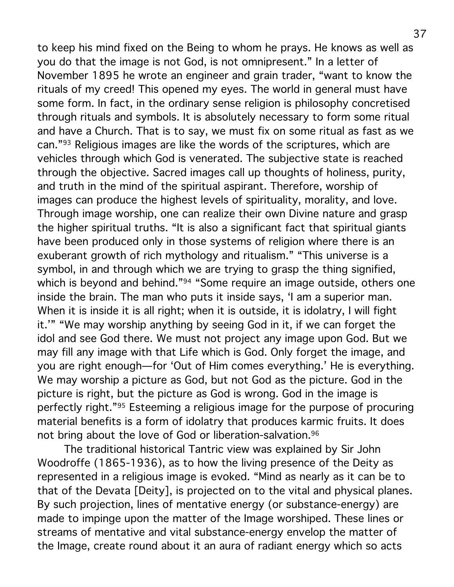to keep his mind fixed on the Being to whom he prays. He knows as well as you do that the image is not God, is not omnipresent." In a letter of November 1895 he wrote an engineer and grain trader, "want to know the rituals of my creed! This opened my eyes. The world in general must have some form. In fact, in the ordinary sense religion is philosophy concretised through rituals and symbols. It is absolutely necessary to form some ritual and have a Church. That is to say, we must fix on some ritual as fast as we can."93 Religious images are like the words of the scriptures, which are vehicles through which God is venerated. The subjective state is reached through the objective. Sacred images call up thoughts of holiness, purity, and truth in the mind of the spiritual aspirant. Therefore, worship of images can produce the highest levels of spirituality, morality, and love. Through image worship, one can realize their own Divine nature and grasp the higher spiritual truths. "It is also a significant fact that spiritual giants have been produced only in those systems of religion where there is an exuberant growth of rich mythology and ritualism." "This universe is a symbol, in and through which we are trying to grasp the thing signified, which is beyond and behind."<sup>94</sup> "Some require an image outside, others one inside the brain. The man who puts it inside says, 'I am a superior man. When it is inside it is all right; when it is outside, it is idolatry, I will fight it.'" "We may worship anything by seeing God in it, if we can forget the idol and see God there. We must not project any image upon God. But we may fill any image with that Life which is God. Only forget the image, and you are right enough—for 'Out of Him comes everything.' He is everything. We may worship a picture as God, but not God as the picture. God in the picture is right, but the picture as God is wrong. God in the image is perfectly right."95 Esteeming a religious image for the purpose of procuring material benefits is a form of idolatry that produces karmic fruits. It does not bring about the love of God or liberation-salvation.<sup>96</sup>

The traditional historical Tantric view was explained by Sir John Woodroffe (1865-1936), as to how the living presence of the Deity as represented in a religious image is evoked. "Mind as nearly as it can be to that of the Devata [Deity], is projected on to the vital and physical planes. By such projection, lines of mentative energy (or substance-energy) are made to impinge upon the matter of the Image worshiped. These lines or streams of mentative and vital substance-energy envelop the matter of the Image, create round about it an aura of radiant energy which so acts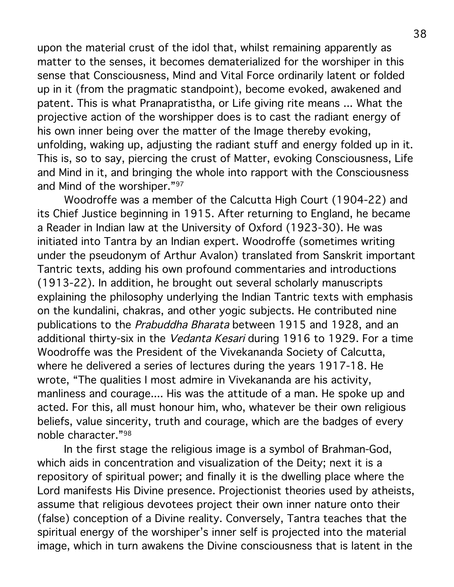upon the material crust of the idol that, whilst remaining apparently as matter to the senses, it becomes dematerialized for the worshiper in this sense that Consciousness, Mind and Vital Force ordinarily latent or folded up in it (from the pragmatic standpoint), become evoked, awakened and patent. This is what Pranapratistha, or Life giving rite means ... What the projective action of the worshipper does is to cast the radiant energy of his own inner being over the matter of the Image thereby evoking, unfolding, waking up, adjusting the radiant stuff and energy folded up in it. This is, so to say, piercing the crust of Matter, evoking Consciousness, Life and Mind in it, and bringing the whole into rapport with the Consciousness and Mind of the worshiper."97

Woodroffe was a member of the Calcutta High Court (1904-22) and its Chief Justice beginning in 1915. After returning to England, he became a Reader in Indian law at the University of Oxford (1923-30). He was initiated into Tantra by an Indian expert. Woodroffe (sometimes writing under the pseudonym of Arthur Avalon) translated from Sanskrit important Tantric texts, adding his own profound commentaries and introductions (1913-22). In addition, he brought out several scholarly manuscripts explaining the philosophy underlying the Indian Tantric texts with emphasis on the kundalini, chakras, and other yogic subjects. He contributed nine publications to the Prabuddha Bharata between 1915 and 1928, and an additional thirty-six in the Vedanta Kesari during 1916 to 1929. For a time Woodroffe was the President of the Vivekananda Society of Calcutta, where he delivered a series of lectures during the years 1917-18. He wrote, "The qualities I most admire in Vivekananda are his activity, manliness and courage.... His was the attitude of a man. He spoke up and acted. For this, all must honour him, who, whatever be their own religious beliefs, value sincerity, truth and courage, which are the badges of every noble character."98

In the first stage the religious image is a symbol of Brahman-God, which aids in concentration and visualization of the Deity; next it is a repository of spiritual power; and finally it is the dwelling place where the Lord manifests His Divine presence. Projectionist theories used by atheists, assume that religious devotees project their own inner nature onto their (false) conception of a Divine reality. Conversely, Tantra teaches that the spiritual energy of the worshiper's inner self is projected into the material image, which in turn awakens the Divine consciousness that is latent in the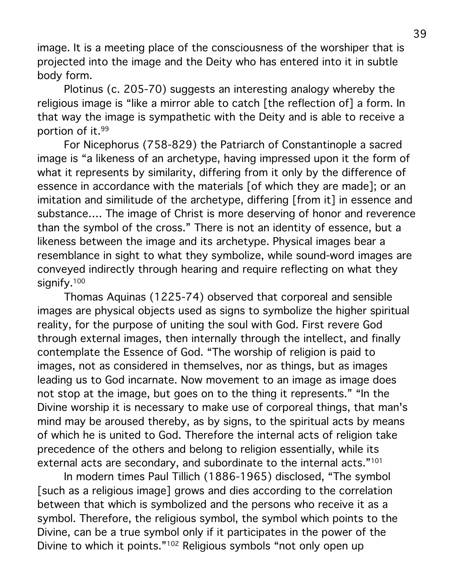image. It is a meeting place of the consciousness of the worshiper that is projected into the image and the Deity who has entered into it in subtle body form.

Plotinus (c. 205-70) suggests an interesting analogy whereby the religious image is "like a mirror able to catch [the reflection of] a form. In that way the image is sympathetic with the Deity and is able to receive a portion of it.99

For Nicephorus (758-829) the Patriarch of Constantinople a sacred image is "a likeness of an archetype, having impressed upon it the form of what it represents by similarity, differing from it only by the difference of essence in accordance with the materials [of which they are made]; or an imitation and similitude of the archetype, differing [from it] in essence and substance…. The image of Christ is more deserving of honor and reverence than the symbol of the cross." There is not an identity of essence, but a likeness between the image and its archetype. Physical images bear a resemblance in sight to what they symbolize, while sound-word images are conveyed indirectly through hearing and require reflecting on what they signify.<sup>100</sup>

Thomas Aquinas (1225-74) observed that corporeal and sensible images are physical objects used as signs to symbolize the higher spiritual reality, for the purpose of uniting the soul with God. First revere God through external images, then internally through the intellect, and finally contemplate the Essence of God. "The worship of religion is paid to images, not as considered in themselves, nor as things, but as images leading us to God incarnate. Now movement to an image as image does not stop at the image, but goes on to the thing it represents." "In the Divine worship it is necessary to make use of corporeal things, that man's mind may be aroused thereby, as by signs, to the spiritual acts by means of which he is united to God. Therefore the internal acts of religion take precedence of the others and belong to religion essentially, while its external acts are secondary, and subordinate to the internal acts."101

In modern times Paul Tillich (1886-1965) disclosed, "The symbol [such as a religious image] grows and dies according to the correlation between that which is symbolized and the persons who receive it as a symbol. Therefore, the religious symbol, the symbol which points to the Divine, can be a true symbol only if it participates in the power of the Divine to which it points."<sup>102</sup> Religious symbols "not only open up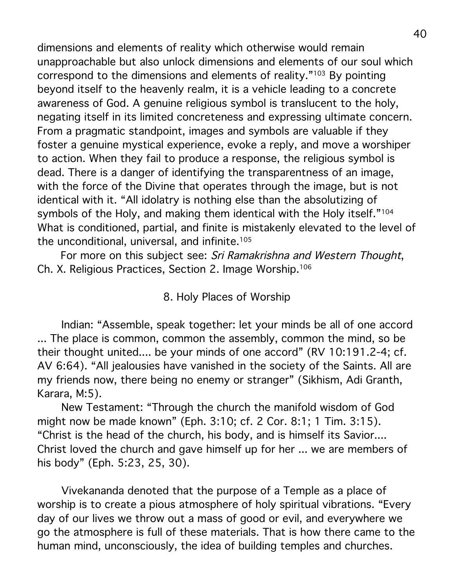dimensions and elements of reality which otherwise would remain unapproachable but also unlock dimensions and elements of our soul which correspond to the dimensions and elements of reality."103 By pointing beyond itself to the heavenly realm, it is a vehicle leading to a concrete awareness of God. A genuine religious symbol is translucent to the holy, negating itself in its limited concreteness and expressing ultimate concern. From a pragmatic standpoint, images and symbols are valuable if they foster a genuine mystical experience, evoke a reply, and move a worshiper to action. When they fail to produce a response, the religious symbol is dead. There is a danger of identifying the transparentness of an image, with the force of the Divine that operates through the image, but is not identical with it. "All idolatry is nothing else than the absolutizing of symbols of the Holy, and making them identical with the Holy itself."<sup>104</sup> What is conditioned, partial, and finite is mistakenly elevated to the level of the unconditional, universal, and infinite.105

For more on this subject see: Sri Ramakrishna and Western Thought, Ch. X. Religious Practices, Section 2. Image Worship. 106

## 8. Holy Places of Worship

Indian: "Assemble, speak together: let your minds be all of one accord ... The place is common, common the assembly, common the mind, so be their thought united.... be your minds of one accord" (RV 10:191.2-4; cf. AV 6:64). "All jealousies have vanished in the society of the Saints. All are my friends now, there being no enemy or stranger" (Sikhism, Adi Granth, Karara, M:5).

New Testament: "Through the church the manifold wisdom of God might now be made known" (Eph. 3:10; cf. 2 Cor. 8:1; 1 Tim. 3:15). "Christ is the head of the church, his body, and is himself its Savior.... Christ loved the church and gave himself up for her ... we are members of his body" (Eph. 5:23, 25, 30).

Vivekananda denoted that the purpose of a Temple as a place of worship is to create a pious atmosphere of holy spiritual vibrations. "Every day of our lives we throw out a mass of good or evil, and everywhere we go the atmosphere is full of these materials. That is how there came to the human mind, unconsciously, the idea of building temples and churches.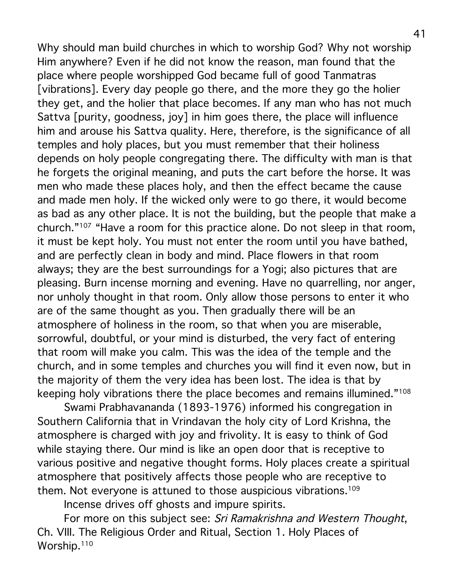Why should man build churches in which to worship God? Why not worship Him anywhere? Even if he did not know the reason, man found that the place where people worshipped God became full of good Tanmatras [vibrations]. Every day people go there, and the more they go the holier they get, and the holier that place becomes. If any man who has not much Sattva [purity, goodness, joy] in him goes there, the place will influence him and arouse his Sattva quality. Here, therefore, is the significance of all temples and holy places, but you must remember that their holiness depends on holy people congregating there. The difficulty with man is that he forgets the original meaning, and puts the cart before the horse. It was men who made these places holy, and then the effect became the cause and made men holy. If the wicked only were to go there, it would become as bad as any other place. It is not the building, but the people that make a church."107 "Have a room for this practice alone. Do not sleep in that room, it must be kept holy. You must not enter the room until you have bathed, and are perfectly clean in body and mind. Place flowers in that room always; they are the best surroundings for a Yogi; also pictures that are pleasing. Burn incense morning and evening. Have no quarrelling, nor anger, nor unholy thought in that room. Only allow those persons to enter it who are of the same thought as you. Then gradually there will be an atmosphere of holiness in the room, so that when you are miserable, sorrowful, doubtful, or your mind is disturbed, the very fact of entering that room will make you calm. This was the idea of the temple and the church, and in some temples and churches you will find it even now, but in the majority of them the very idea has been lost. The idea is that by keeping holy vibrations there the place becomes and remains illumined."108

Swami Prabhavananda (1893-1976) informed his congregation in Southern California that in Vrindavan the holy city of Lord Krishna, the atmosphere is charged with joy and frivolity. It is easy to think of God while staying there. Our mind is like an open door that is receptive to various positive and negative thought forms. Holy places create a spiritual atmosphere that positively affects those people who are receptive to them. Not everyone is attuned to those auspicious vibrations.109

Incense drives off ghosts and impure spirits.

For more on this subject see: Sri Ramakrishna and Western Thought, Ch. VIII. The Religious Order and Ritual, Section 1. Holy Places of Worship.<sup>110</sup>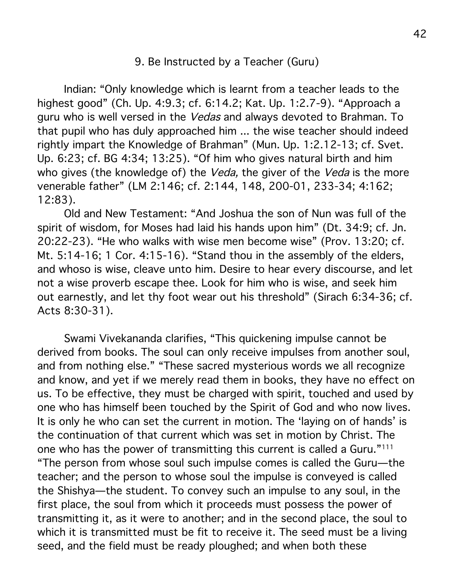#### 9. Be Instructed by a Teacher (Guru)

Indian: "Only knowledge which is learnt from a teacher leads to the highest good" (Ch. Up. 4:9.3; cf. 6:14.2; Kat. Up. 1:2.7-9). "Approach a guru who is well versed in the Vedas and always devoted to Brahman. To that pupil who has duly approached him ... the wise teacher should indeed rightly impart the Knowledge of Brahman" (Mun. Up. 1:2.12-13; cf. Svet. Up. 6:23; cf. BG 4:34; 13:25). "Of him who gives natural birth and him who gives (the knowledge of) the *Veda*, the giver of the *Veda* is the more venerable father" (LM 2:146; cf. 2:144, 148, 200-01, 233-34; 4:162; 12:83).

Old and New Testament: "And Joshua the son of Nun was full of the spirit of wisdom, for Moses had laid his hands upon him" (Dt. 34:9; cf. Jn. 20:22-23). "He who walks with wise men become wise" (Prov. 13:20; cf. Mt. 5:14-16; 1 Cor. 4:15-16). "Stand thou in the assembly of the elders, and whoso is wise, cleave unto him. Desire to hear every discourse, and let not a wise proverb escape thee. Look for him who is wise, and seek him out earnestly, and let thy foot wear out his threshold" (Sirach 6:34-36; cf. Acts 8:30-31).

Swami Vivekananda clarifies, "This quickening impulse cannot be derived from books. The soul can only receive impulses from another soul, and from nothing else." "These sacred mysterious words we all recognize and know, and yet if we merely read them in books, they have no effect on us. To be effective, they must be charged with spirit, touched and used by one who has himself been touched by the Spirit of God and who now lives. It is only he who can set the current in motion. The 'laying on of hands' is the continuation of that current which was set in motion by Christ. The one who has the power of transmitting this current is called a Guru."111 "The person from whose soul such impulse comes is called the Guru—the teacher; and the person to whose soul the impulse is conveyed is called the Shishya—the student. To convey such an impulse to any soul, in the first place, the soul from which it proceeds must possess the power of transmitting it, as it were to another; and in the second place, the soul to which it is transmitted must be fit to receive it. The seed must be a living seed, and the field must be ready ploughed; and when both these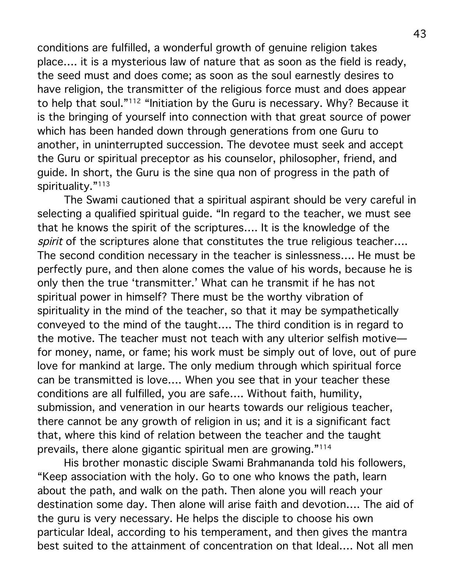conditions are fulfilled, a wonderful growth of genuine religion takes place…. it is a mysterious law of nature that as soon as the field is ready, the seed must and does come; as soon as the soul earnestly desires to have religion, the transmitter of the religious force must and does appear to help that soul."<sup>112</sup> "Initiation by the Guru is necessary. Why? Because it is the bringing of yourself into connection with that great source of power which has been handed down through generations from one Guru to another, in uninterrupted succession. The devotee must seek and accept the Guru or spiritual preceptor as his counselor, philosopher, friend, and guide. In short, the Guru is the sine qua non of progress in the path of spirituality."<sup>113</sup>

The Swami cautioned that a spiritual aspirant should be very careful in selecting a qualified spiritual guide. "In regard to the teacher, we must see that he knows the spirit of the scriptures…. It is the knowledge of the spirit of the scriptures alone that constitutes the true religious teacher.... The second condition necessary in the teacher is sinlessness…. He must be perfectly pure, and then alone comes the value of his words, because he is only then the true 'transmitter.' What can he transmit if he has not spiritual power in himself? There must be the worthy vibration of spirituality in the mind of the teacher, so that it may be sympathetically conveyed to the mind of the taught…. The third condition is in regard to the motive. The teacher must not teach with any ulterior selfish motive for money, name, or fame; his work must be simply out of love, out of pure love for mankind at large. The only medium through which spiritual force can be transmitted is love…. When you see that in your teacher these conditions are all fulfilled, you are safe…. Without faith, humility, submission, and veneration in our hearts towards our religious teacher, there cannot be any growth of religion in us; and it is a significant fact that, where this kind of relation between the teacher and the taught prevails, there alone gigantic spiritual men are growing."114

His brother monastic disciple Swami Brahmananda told his followers, "Keep association with the holy. Go to one who knows the path, learn about the path, and walk on the path. Then alone you will reach your destination some day. Then alone will arise faith and devotion…. The aid of the guru is very necessary. He helps the disciple to choose his own particular Ideal, according to his temperament, and then gives the mantra best suited to the attainment of concentration on that Ideal…. Not all men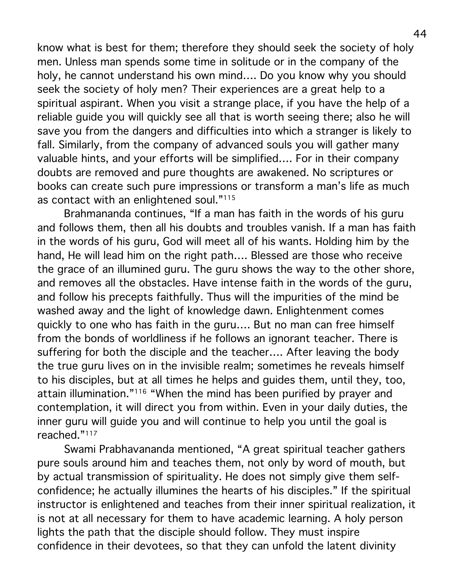know what is best for them; therefore they should seek the society of holy men. Unless man spends some time in solitude or in the company of the holy, he cannot understand his own mind…. Do you know why you should seek the society of holy men? Their experiences are a great help to a spiritual aspirant. When you visit a strange place, if you have the help of a reliable guide you will quickly see all that is worth seeing there; also he will save you from the dangers and difficulties into which a stranger is likely to fall. Similarly, from the company of advanced souls you will gather many valuable hints, and your efforts will be simplified…. For in their company doubts are removed and pure thoughts are awakened. No scriptures or books can create such pure impressions or transform a man's life as much as contact with an enlightened soul."115

Brahmananda continues, "If a man has faith in the words of his guru and follows them, then all his doubts and troubles vanish. If a man has faith in the words of his guru, God will meet all of his wants. Holding him by the hand, He will lead him on the right path…. Blessed are those who receive the grace of an illumined guru. The guru shows the way to the other shore, and removes all the obstacles. Have intense faith in the words of the guru, and follow his precepts faithfully. Thus will the impurities of the mind be washed away and the light of knowledge dawn. Enlightenment comes quickly to one who has faith in the guru…. But no man can free himself from the bonds of worldliness if he follows an ignorant teacher. There is suffering for both the disciple and the teacher…. After leaving the body the true guru lives on in the invisible realm; sometimes he reveals himself to his disciples, but at all times he helps and guides them, until they, too, attain illumination."116 "When the mind has been purified by prayer and contemplation, it will direct you from within. Even in your daily duties, the inner guru will guide you and will continue to help you until the goal is reached."117

Swami Prabhavananda mentioned, "A great spiritual teacher gathers pure souls around him and teaches them, not only by word of mouth, but by actual transmission of spirituality. He does not simply give them selfconfidence; he actually illumines the hearts of his disciples." If the spiritual instructor is enlightened and teaches from their inner spiritual realization, it is not at all necessary for them to have academic learning. A holy person lights the path that the disciple should follow. They must inspire confidence in their devotees, so that they can unfold the latent divinity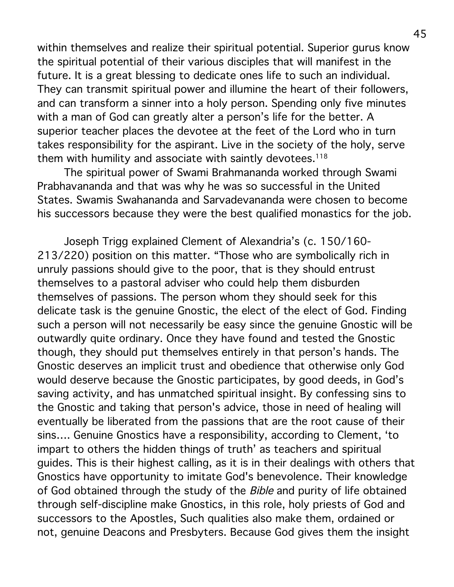within themselves and realize their spiritual potential. Superior gurus know the spiritual potential of their various disciples that will manifest in the future. It is a great blessing to dedicate ones life to such an individual. They can transmit spiritual power and illumine the heart of their followers, and can transform a sinner into a holy person. Spending only five minutes with a man of God can greatly alter a person's life for the better. A superior teacher places the devotee at the feet of the Lord who in turn takes responsibility for the aspirant. Live in the society of the holy, serve them with humility and associate with saintly devotees.<sup>118</sup>

The spiritual power of Swami Brahmananda worked through Swami Prabhavananda and that was why he was so successful in the United States. Swamis Swahananda and Sarvadevananda were chosen to become his successors because they were the best qualified monastics for the job.

Joseph Trigg explained Clement of Alexandria's (c. 150/160- 213/220) position on this matter. "Those who are symbolically rich in unruly passions should give to the poor, that is they should entrust themselves to a pastoral adviser who could help them disburden themselves of passions. The person whom they should seek for this delicate task is the genuine Gnostic, the elect of the elect of God. Finding such a person will not necessarily be easy since the genuine Gnostic will be outwardly quite ordinary. Once they have found and tested the Gnostic though, they should put themselves entirely in that person's hands. The Gnostic deserves an implicit trust and obedience that otherwise only God would deserve because the Gnostic participates, by good deeds, in God's saving activity, and has unmatched spiritual insight. By confessing sins to the Gnostic and taking that person's advice, those in need of healing will eventually be liberated from the passions that are the root cause of their sins…. Genuine Gnostics have a responsibility, according to Clement, 'to impart to others the hidden things of truth' as teachers and spiritual guides. This is their highest calling, as it is in their dealings with others that Gnostics have opportunity to imitate God's benevolence. Their knowledge of God obtained through the study of the *Bible* and purity of life obtained through self-discipline make Gnostics, in this role, holy priests of God and successors to the Apostles, Such qualities also make them, ordained or not, genuine Deacons and Presbyters. Because God gives them the insight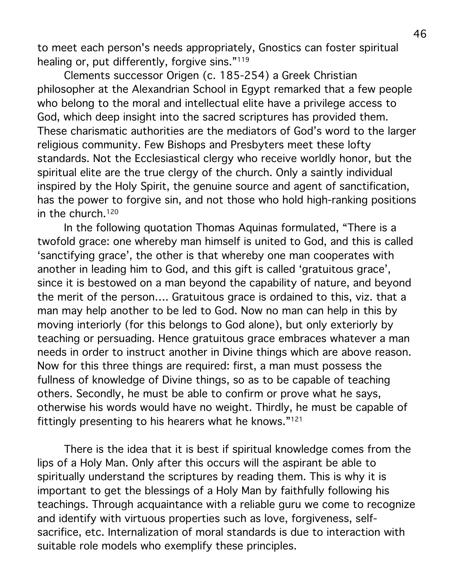to meet each person's needs appropriately, Gnostics can foster spiritual healing or, put differently, forgive sins."119

Clements successor Origen (c. 185-254) a Greek Christian philosopher at the Alexandrian School in Egypt remarked that a few people who belong to the moral and intellectual elite have a privilege access to God, which deep insight into the sacred scriptures has provided them. These charismatic authorities are the mediators of God's word to the larger religious community. Few Bishops and Presbyters meet these lofty standards. Not the Ecclesiastical clergy who receive worldly honor, but the spiritual elite are the true clergy of the church. Only a saintly individual inspired by the Holy Spirit, the genuine source and agent of sanctification, has the power to forgive sin, and not those who hold high-ranking positions in the church.<sup>120</sup>

In the following quotation Thomas Aquinas formulated, "There is a twofold grace: one whereby man himself is united to God, and this is called 'sanctifying grace', the other is that whereby one man cooperates with another in leading him to God, and this gift is called 'gratuitous grace', since it is bestowed on a man beyond the capability of nature, and beyond the merit of the person…. Gratuitous grace is ordained to this, viz. that a man may help another to be led to God. Now no man can help in this by moving interiorly (for this belongs to God alone), but only exteriorly by teaching or persuading. Hence gratuitous grace embraces whatever a man needs in order to instruct another in Divine things which are above reason. Now for this three things are required: first, a man must possess the fullness of knowledge of Divine things, so as to be capable of teaching others. Secondly, he must be able to confirm or prove what he says, otherwise his words would have no weight. Thirdly, he must be capable of fittingly presenting to his hearers what he knows."121

There is the idea that it is best if spiritual knowledge comes from the lips of a Holy Man. Only after this occurs will the aspirant be able to spiritually understand the scriptures by reading them. This is why it is important to get the blessings of a Holy Man by faithfully following his teachings. Through acquaintance with a reliable guru we come to recognize and identify with virtuous properties such as love, forgiveness, selfsacrifice, etc. Internalization of moral standards is due to interaction with suitable role models who exemplify these principles.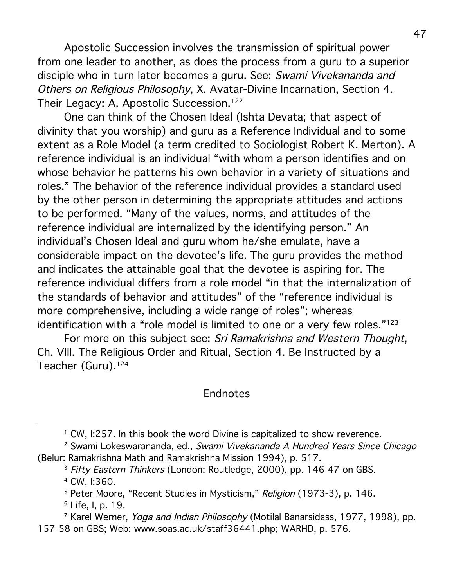Apostolic Succession involves the transmission of spiritual power from one leader to another, as does the process from a guru to a superior disciple who in turn later becomes a guru. See: Swami Vivekananda and Others on Religious Philosophy, X. Avatar-Divine Incarnation, Section 4. Their Legacy: A. Apostolic Succession.<sup>122</sup>

One can think of the Chosen Ideal (Ishta Devata; that aspect of divinity that you worship) and guru as a Reference Individual and to some extent as a Role Model (a term credited to Sociologist Robert K. Merton). A reference individual is an individual "with whom a person identifies and on whose behavior he patterns his own behavior in a variety of situations and roles." The behavior of the reference individual provides a standard used by the other person in determining the appropriate attitudes and actions to be performed. "Many of the values, norms, and attitudes of the reference individual are internalized by the identifying person." An individual's Chosen Ideal and guru whom he/she emulate, have a considerable impact on the devotee's life. The guru provides the method and indicates the attainable goal that the devotee is aspiring for. The reference individual differs from a role model "in that the internalization of the standards of behavior and attitudes" of the "reference individual is more comprehensive, including a wide range of roles"; whereas identification with a "role model is limited to one or a very few roles."<sup>123</sup>

For more on this subject see: Sri Ramakrishna and Western Thought, Ch. VIII. The Religious Order and Ritual, Section 4. Be Instructed by a Teacher (Guru). 124

### Endnotes

<sup>5</sup> Peter Moore, "Recent Studies in Mysticism," Religion (1973-3), p. 146.

<sup>&</sup>lt;sup>1</sup> CW, I:257. In this book the word Divine is capitalized to show reverence.

<sup>&</sup>lt;sup>2</sup> Swami Lokeswarananda, ed., Swami Vivekananda A Hundred Years Since Chicago (Belur: Ramakrishna Math and Ramakrishna Mission 1994), p. 517.

<sup>&</sup>lt;sup>3</sup> Fifty Eastern Thinkers (London: Routledge, 2000), pp. 146-47 on GBS.

<sup>4</sup> CW, I:360.

<sup>6</sup> Life, I, p. 19.

<sup>&</sup>lt;sup>7</sup> Karel Werner, *Yoga and Indian Philosophy* (Motilal Banarsidass, 1977, 1998), pp. 157-58 on GBS; Web: www.soas.ac.uk/staff36441.php; WARHD, p. 576.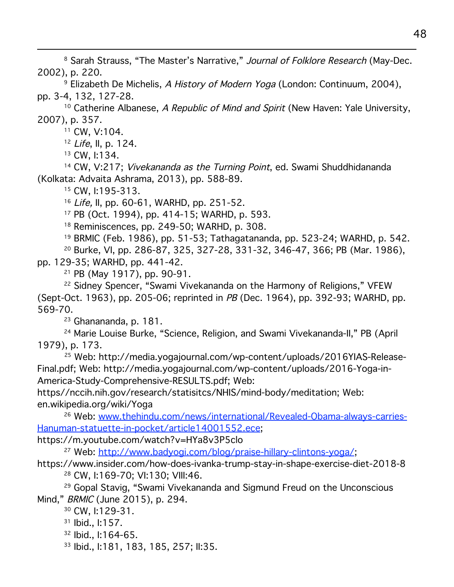<sup>8</sup> Sarah Strauss, "The Master's Narrative," Journal of Folklore Research (May-Dec. 2002), p. 220.

<sup>9</sup> Elizabeth De Michelis, A History of Modern Yoga (London: Continuum, 2004). pp. 3-4, 132, 127-28.

<sup>10</sup> Catherine Albanese, A Republic of Mind and Spirit (New Haven: Yale University, 2007), p. 357.

<sup>11</sup> CW, V:104.

<sup>12</sup> Life, II, p. 124.

13 CW, I:134.

<sup>14</sup> CW, V:217; *Vivekananda as the Turning Point*, ed. Swami Shuddhidananda (Kolkata: Advaita Ashrama, 2013), pp. 588-89.

15 CW, I:195-313.

<sup>16</sup> Life, II, pp. 60-61, WARHD, pp. 251-52.

17 PB (Oct. 1994), pp. 414-15; WARHD, p. 593.

 $18$  Reminiscences, pp. 249-50; WARHD, p. 308.

19 BRMIC (Feb. 1986), pp. 51-53; Tathagatananda, pp. 523-24; WARHD, p. 542.

20 Burke, VI, pp. 286-87, 325, 327-28, 331-32, 346-47, 366; PB (Mar. 1986),

pp. 129-35; WARHD, pp. 441-42.

21 PB (May 1917), pp. 90-91.

<sup>22</sup> Sidney Spencer, "Swami Vivekananda on the Harmony of Religions," VFEW (Sept-Oct. 1963), pp. 205-06; reprinted in PB (Dec. 1964), pp. 392-93; WARHD, pp. 569-70.

23 Ghanananda, p. 181.

<sup>24</sup> Marie Louise Burke, "Science, Religion, and Swami Vivekananda-II," PB (April 1979), p. 173.

25 Web: http://media.yogajournal.com/wp-content/uploads/2016YIAS-Release-Final.pdf; Web: http://media.yogajournal.com/wp-content/uploads/2016-Yoga-in-America-Study-Comprehensive-RESULTS.pdf; Web:

https//nccih.nih.gov/research/statisitcs/NHIS/mind-body/meditation; Web: en.wikipedia.org/wiki/Yoga

26 Web: www.thehindu.com/news/international/Revealed-Obama-always-carries-Hanuman-statuette-in-pocket/article14001552.ece;

https://m.youtube.com/watch?v=HYa8v3P5clo

27 Web: http://www.badyogi.com/blog/praise-hillary-clintons-yoga/;

https://www.insider.com/how-does-ivanka-trump-stay-in-shape-exercise-diet-2018-8 28 CW, I:169-70; VI:130; VIII:46.

29 Gopal Stavig, "Swami Vivekananda and Sigmund Freud on the Unconscious Mind," BRMIC (June 2015), p. 294.

30 CW, I:129-31.

31 Ibid., I:157.

- 32 Ibid., I:164-65.
- 33 Ibid., I:181, 183, 185, 257; II:35.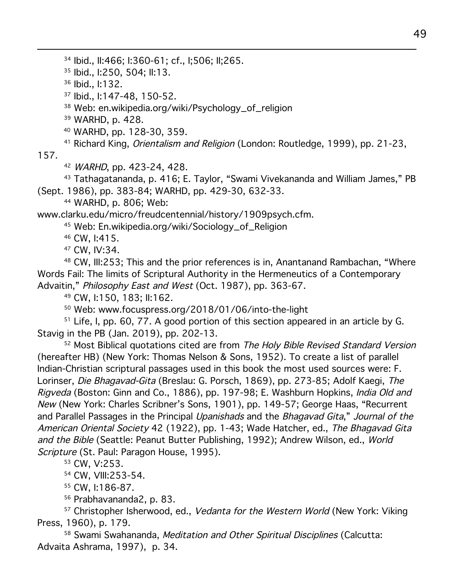34 Ibid., II:466; I:360-61; cf., I;506; II;265.

35 Ibid., I:250, 504; II:13.

36 Ibid., I:132.

37 Ibid., I:147-48, 150-52.

38 Web: en.wikipedia.org/wiki/Psychology\_of\_religion

<sup>39</sup> WARHD, p. 428.

40 WARHD, pp. 128-30, 359.

41 Richard King, Orientalism and Religion (London: Routledge, 1999), pp. 21-23,

157.

<sup>42</sup> WARHD, pp. 423-24, 428.

43 Tathagatananda, p. 416; E. Taylor, "Swami Vivekananda and William James," PB (Sept. 1986), pp. 383-84; WARHD, pp. 429-30, 632-33.

<sup>44</sup> WARHD, p. 806; Web:

www.clarku.edu/micro/freudcentennial/history/1909psych.cfm.

45 Web: En.wikipedia.org/wiki/Sociology\_of\_Religion

46 CW, I:415.

47 CW, IV:34.

48 CW, III:253; This and the prior references is in, Anantanand Rambachan, "Where Words Fail: The limits of Scriptural Authority in the Hermeneutics of a Contemporary Advaitin," Philosophy East and West (Oct. 1987), pp. 363-67.

49 CW, I:150, 183; II:162.

50 Web: www.focuspress.org/2018/01/06/into-the-light

51 Life, I, pp. 60, 77. A good portion of this section appeared in an article by G. Stavig in the PB (Jan. 2019), pp. 202-13.

<sup>52</sup> Most Biblical quotations cited are from The Holy Bible Revised Standard Version (hereafter HB) (New York: Thomas Nelson & Sons, 1952). To create a list of parallel Indian-Christian scriptural passages used in this book the most used sources were: F. Lorinser, Die Bhagavad-Gita (Breslau: G. Porsch, 1869), pp. 273-85; Adolf Kaegi, The Rigveda (Boston: Ginn and Co., 1886), pp. 197-98; E. Washburn Hopkins, India Old and New (New York: Charles Scribner's Sons, 1901), pp. 149-57; George Haas, "Recurrent and Parallel Passages in the Principal Upanishads and the Bhagavad Gita," Journal of the American Oriental Society 42 (1922), pp. 1-43; Wade Hatcher, ed., The Bhagavad Gita and the Bible (Seattle: Peanut Butter Publishing, 1992); Andrew Wilson, ed., World Scripture (St. Paul: Paragon House, 1995).

53 CW, V:253.

54 CW, VIII:253-54.

55 CW, I:186-87.

56 Prabhavananda2, p. 83.

<sup>57</sup> Christopher Isherwood, ed., *Vedanta for the Western World* (New York: Viking Press, 1960), p. 179.

58 Swami Swahananda, Meditation and Other Spiritual Disciplines (Calcutta: Advaita Ashrama, 1997), p. 34.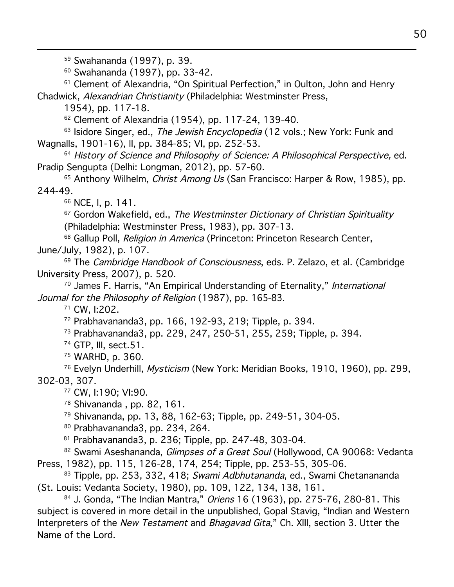59 Swahananda (1997), p. 39.

60 Swahananda (1997), pp. 33-42.

61 Clement of Alexandria, "On Spiritual Perfection," in Oulton, John and Henry Chadwick, Alexandrian Christianity (Philadelphia: Westminster Press,

1954), pp. 117-18.

62 Clement of Alexandria (1954), pp. 117-24, 139-40.

63 Isidore Singer, ed., The Jewish Encyclopedia (12 vols.; New York: Funk and Wagnalls, 1901-16), II, pp. 384-85; VI, pp. 252-53.

<sup>64</sup> History of Science and Philosophy of Science: A Philosophical Perspective, ed. Pradip Sengupta (Delhi: Longman, 2012), pp. 57-60.

<sup>65</sup> Anthony Wilhelm, *Christ Among Us* (San Francisco: Harper & Row, 1985), pp. 244-49.

66 NCE, I, p. 141.

<sup>67</sup> Gordon Wakefield, ed., The Westminster Dictionary of Christian Spirituality (Philadelphia: Westminster Press, 1983), pp. 307-13.

68 Gallup Poll, Religion in America (Princeton: Princeton Research Center, June/July, 1982), p. 107.

<sup>69</sup> The *Cambridge Handbook of Consciousness*, eds. P. Zelazo, et al. (Cambridge University Press, 2007), p. 520.

<sup>70</sup> James F. Harris, "An Empirical Understanding of Eternality," International Journal for the Philosophy of Religion (1987), pp. 165-83.

71 CW, I:202.

72 Prabhavananda3, pp. 166, 192-93, 219; Tipple, p. 394.

73 Prabhavananda3, pp. 229, 247, 250-51, 255, 259; Tipple, p. 394.

<sup>74</sup> GTP, III, sect.51.

75 WARHD, p. 360.

76 Evelyn Underhill, Mysticism (New York: Meridian Books, 1910, 1960), pp. 299, 302-03, 307. 77 CW, I:190; VI:90.

78 Shivananda , pp. 82, 161.

79 Shivananda, pp. 13, 88, 162-63; Tipple, pp. 249-51, 304-05.

80 Prabhavananda3, pp. 234, 264.

81 Prabhavananda3, p. 236; Tipple, pp. 247-48, 303-04.

82 Swami Aseshananda, Glimpses of a Great Soul (Hollywood, CA 90068: Vedanta Press, 1982), pp. 115, 126-28, 174, 254; Tipple, pp. 253-55, 305-06.

83 Tipple, pp. 253, 332, 418; Swami Adbhutananda, ed., Swami Chetanananda (St. Louis: Vedanta Society, 1980), pp. 109, 122, 134, 138, 161.

84 J. Gonda, "The Indian Mantra," *Oriens* 16 (1963), pp. 275-76, 280-81. This subject is covered in more detail in the unpublished, Gopal Stavig, "Indian and Western Interpreters of the New Testament and Bhagavad Gita," Ch. XIII, section 3. Utter the Name of the Lord.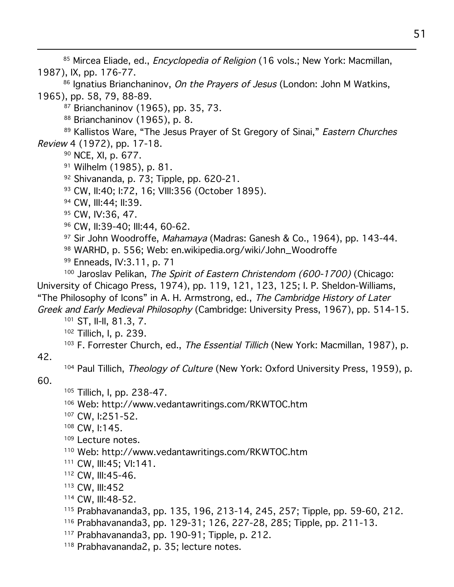85 Mircea Eliade, ed., *Encyclopedia of Religion* (16 vols.; New York: Macmillan, 1987), IX, pp. 176-77.

86 Ignatius Brianchaninov, On the Prayers of Jesus (London: John M Watkins, 1965), pp. 58, 79, 88-89.

87 Brianchaninov (1965), pp. 35, 73.

88 Brianchaninov (1965), p. 8.

89 Kallistos Ware, "The Jesus Prayer of St Gregory of Sinai," *Eastern Churches* Review 4 (1972), pp. 17-18.

90 NCE, XI, p. 677.

91 Wilhelm (1985), p. 81.

 $92$  Shivananda, p. 73; Tipple, pp. 620-21.

93 CW, II:40; I:72, 16; VIII:356 (October 1895).

94 CW, III:44; II:39.

95 CW, IV:36, 47.

96 CW, II:39-40; III:44, 60-62.

<sup>97</sup> Sir John Woodroffe, *Mahamaya* (Madras: Ganesh & Co., 1964), pp. 143-44.

<sup>98</sup> WARHD, p. 556; Web: en.wikipedia.org/wiki/John\_Woodroffe

99 Enneads, IV:3.11, p. 71

<sup>100</sup> Jaroslav Pelikan, The Spirit of Eastern Christendom (600-1700) (Chicago: University of Chicago Press, 1974), pp. 119, 121, 123, 125; I. P. Sheldon-Williams, "The Philosophy of Icons" in A. H. Armstrong, ed., The Cambridge History of Later

Greek and Early Medieval Philosophy (Cambridge: University Press, 1967), pp. 514-15. 101 ST, II-II, 81.3, 7.

102 Tillich, I, p. 239.

103 F. Forrester Church, ed., The Essential Tillich (New York: Macmillan, 1987), p.

42.

 $\overline{a}$ 

<sup>104</sup> Paul Tillich, *Theology of Culture* (New York: Oxford University Press, 1959), p.

60.

105 Tillich, I, pp. 238-47.

106 Web: http://www.vedantawritings.com/RKWTOC.htm

107 CW, I:251-52.

108 CW, I:145.

109 Lecture notes.

110 Web: http://www.vedantawritings.com/RKWTOC.htm

111 CW, III:45; VI:141.

112 CW, III:45-46.

<sup>113</sup> CW, III:452

114 CW, III:48-52.

115 Prabhavananda3, pp. 135, 196, 213-14, 245, 257; Tipple, pp. 59-60, 212.

116 Prabhavananda3, pp. 129-31; 126, 227-28, 285; Tipple, pp. 211-13.

117 Prabhavananda3, pp. 190-91; Tipple, p. 212.

118 Prabhavananda2, p. 35; lecture notes.